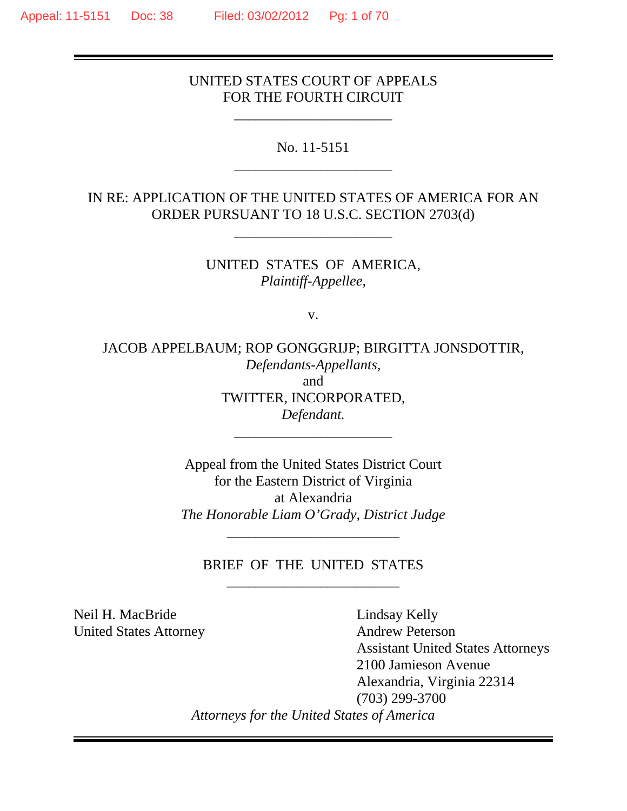## UNITED STATES COURT OF APPEALS FOR THE FOURTH CIRCUIT

\_\_\_\_\_\_\_\_\_\_\_\_\_\_\_\_\_\_\_\_\_\_

No. 11-5151 \_\_\_\_\_\_\_\_\_\_\_\_\_\_\_\_\_\_\_\_\_\_

IN RE: APPLICATION OF THE UNITED STATES OF AMERICA FOR AN ORDER PURSUANT TO 18 U.S.C. SECTION 2703(d)

\_\_\_\_\_\_\_\_\_\_\_\_\_\_\_\_\_\_\_\_\_\_

UNITED STATES OF AMERICA, *Plaintiff-Appellee,*

v.

JACOB APPELBAUM; ROP GONGGRIJP; BIRGITTA JONSDOTTIR, *Defendants-Appellants,* and TWITTER, INCORPORATED, *Defendant.*

\_\_\_\_\_\_\_\_\_\_\_\_\_\_\_\_\_\_\_\_\_\_

Appeal from the United States District Court for the Eastern District of Virginia at Alexandria *The Honorable Liam O'Grady, District Judge*

BRIEF OF THE UNITED STATES \_\_\_\_\_\_\_\_\_\_\_\_\_\_\_\_\_\_\_\_\_\_\_\_

\_\_\_\_\_\_\_\_\_\_\_\_\_\_\_\_\_\_\_\_\_\_\_\_

Neil H. MacBride Lindsay Kelly United States Attorney Andrew Peterson

 Assistant United States Attorneys 2100 Jamieson Avenue Alexandria, Virginia 22314 (703) 299-3700 *Attorneys for the United States of America*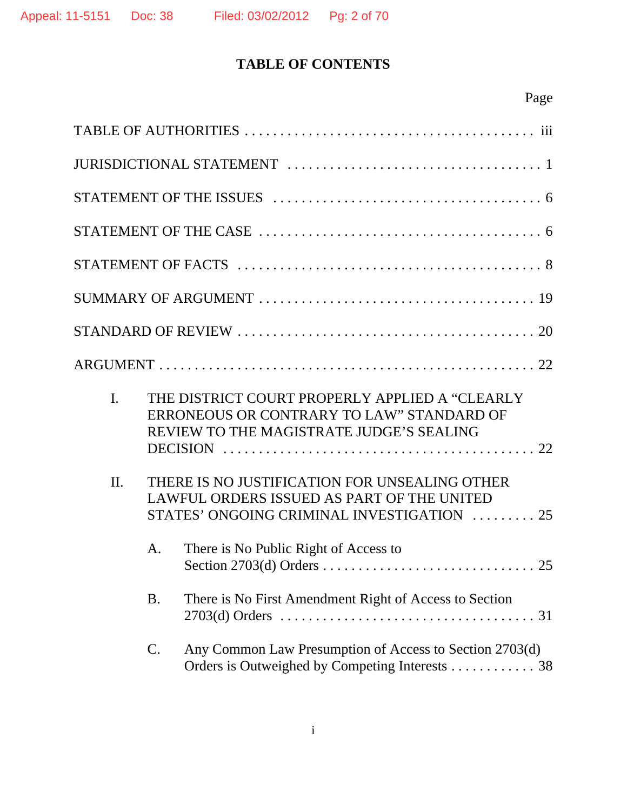# **TABLE OF CONTENTS**

|--|

| $\mathbf{I}$ . |           | THE DISTRICT COURT PROPERLY APPLIED A "CLEARLY<br>ERRONEOUS OR CONTRARY TO LAW" STANDARD OF<br>REVIEW TO THE MAGISTRATE JUDGE'S SEALING   |
|----------------|-----------|-------------------------------------------------------------------------------------------------------------------------------------------|
| $\Pi$ .        |           | THERE IS NO JUSTIFICATION FOR UNSEALING OTHER<br>LAWFUL ORDERS ISSUED AS PART OF THE UNITED<br>STATES' ONGOING CRIMINAL INVESTIGATION  25 |
|                | A.        | There is No Public Right of Access to                                                                                                     |
|                | <b>B.</b> | There is No First Amendment Right of Access to Section                                                                                    |
|                | C.        | Any Common Law Presumption of Access to Section 2703(d)<br>Orders is Outweighed by Competing Interests 38                                 |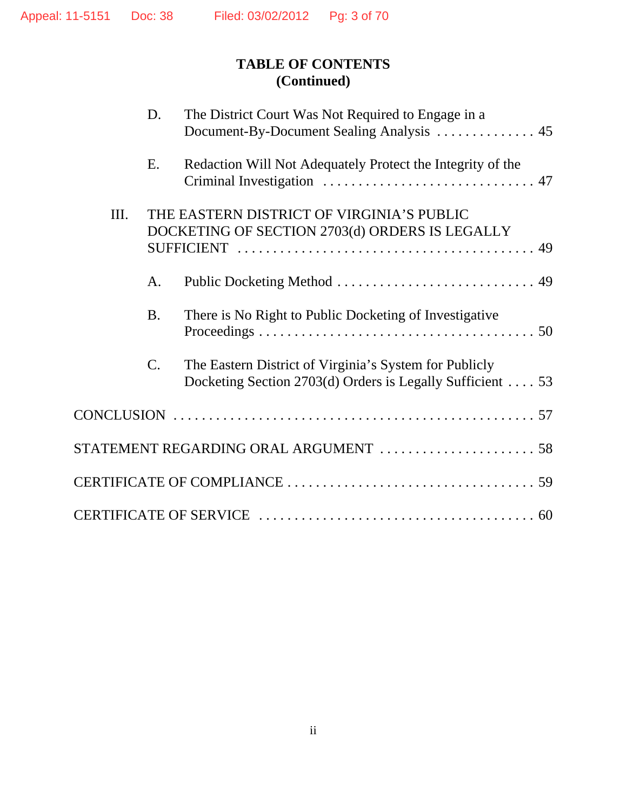# **TABLE OF CONTENTS (Continued)**

|    | D.              | The District Court Was Not Required to Engage in a                                                                   |
|----|-----------------|----------------------------------------------------------------------------------------------------------------------|
|    | E.              | Redaction Will Not Adequately Protect the Integrity of the                                                           |
| Ш. |                 | THE EASTERN DISTRICT OF VIRGINIA'S PUBLIC<br>DOCKETING OF SECTION 2703(d) ORDERS IS LEGALLY                          |
|    | A.              |                                                                                                                      |
|    | <b>B.</b>       | There is No Right to Public Docketing of Investigative                                                               |
|    | $\mathcal{C}$ . | The Eastern District of Virginia's System for Publicly<br>Docketing Section 2703(d) Orders is Legally Sufficient  53 |
|    |                 |                                                                                                                      |
|    |                 |                                                                                                                      |
|    |                 |                                                                                                                      |
|    |                 |                                                                                                                      |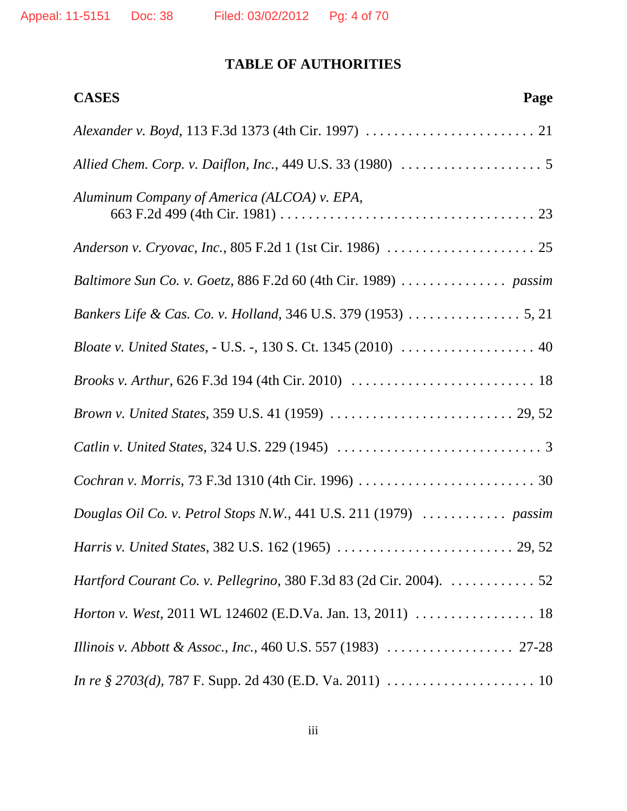## **TABLE OF AUTHORITIES**

| <b>CASES</b><br>Page                                               |
|--------------------------------------------------------------------|
|                                                                    |
|                                                                    |
| Aluminum Company of America (ALCOA) v. EPA,                        |
|                                                                    |
|                                                                    |
|                                                                    |
| Bloate v. United States, - U.S. -, 130 S. Ct. 1345 (2010)  40      |
|                                                                    |
|                                                                    |
|                                                                    |
|                                                                    |
| Douglas Oil Co. v. Petrol Stops N.W., 441 U.S. 211 (1979)  passim  |
|                                                                    |
| Hartford Courant Co. v. Pellegrino, 380 F.3d 83 (2d Cir. 2004). 52 |
|                                                                    |
|                                                                    |
|                                                                    |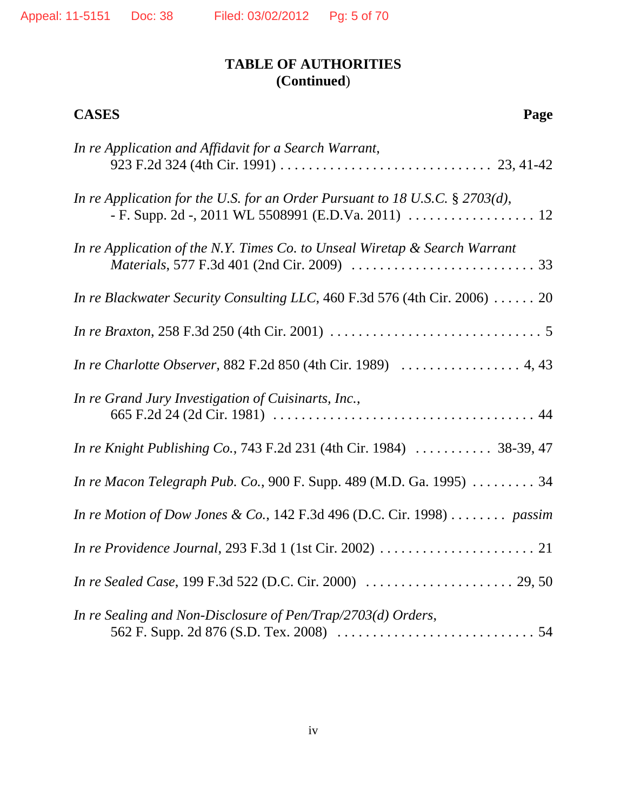| <b>CASES</b><br>Page                                                                      |
|-------------------------------------------------------------------------------------------|
| In re Application and Affidavit for a Search Warrant,                                     |
| In re Application for the U.S. for an Order Pursuant to 18 U.S.C. $\S 2703(d)$ ,          |
| In re Application of the N.Y. Times Co. to Unseal Wiretap & Search Warrant                |
| In re Blackwater Security Consulting LLC, 460 F.3d 576 (4th Cir. 2006) $\ldots \ldots$ 20 |
|                                                                                           |
|                                                                                           |
| In re Grand Jury Investigation of Cuisinarts, Inc.,                                       |
| In re Knight Publishing Co., 743 F.2d 231 (4th Cir. 1984)  38-39, 47                      |
| In re Macon Telegraph Pub. Co., 900 F. Supp. 489 (M.D. Ga. 1995)  34                      |
| In re Motion of Dow Jones & Co., 142 F.3d 496 (D.C. Cir. 1998) passim                     |
|                                                                                           |
|                                                                                           |
| In re Sealing and Non-Disclosure of Pen/Trap/2703(d) Orders,                              |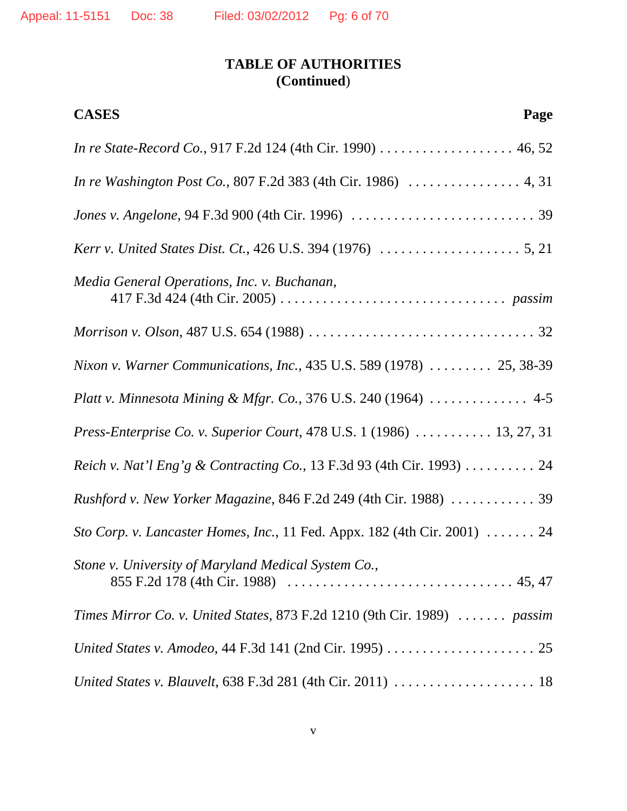| <b>CASES</b><br>Page                                                                                           |
|----------------------------------------------------------------------------------------------------------------|
| In re State-Record Co., 917 F.2d 124 (4th Cir. 1990) 46, 52                                                    |
|                                                                                                                |
|                                                                                                                |
| <i>Kerr v. United States Dist. Ct.</i> , 426 U.S. 394 (1976) $\ldots \ldots \ldots \ldots \ldots \ldots 5, 21$ |
| Media General Operations, Inc. v. Buchanan,                                                                    |
|                                                                                                                |
| Nixon v. Warner Communications, Inc., 435 U.S. 589 (1978)  25, 38-39                                           |
| Platt v. Minnesota Mining & Mfgr. Co., 376 U.S. 240 (1964) $\ldots \ldots \ldots$ 4-5                          |
| Press-Enterprise Co. v. Superior Court, 478 U.S. 1 (1986)  13, 27, 31                                          |
| Reich v. Nat'l Eng'g & Contracting Co., 13 F.3d 93 (4th Cir. 1993) 24                                          |
| Rushford v. New Yorker Magazine, 846 F.2d 249 (4th Cir. 1988)  39                                              |
| Sto Corp. v. Lancaster Homes, Inc., 11 Fed. Appx. 182 (4th Cir. 2001)  24                                      |
| Stone v. University of Maryland Medical System Co.,                                                            |
| Times Mirror Co. v. United States, 873 F.2d 1210 (9th Cir. 1989) $\ldots \ldots$ passim                        |
|                                                                                                                |
|                                                                                                                |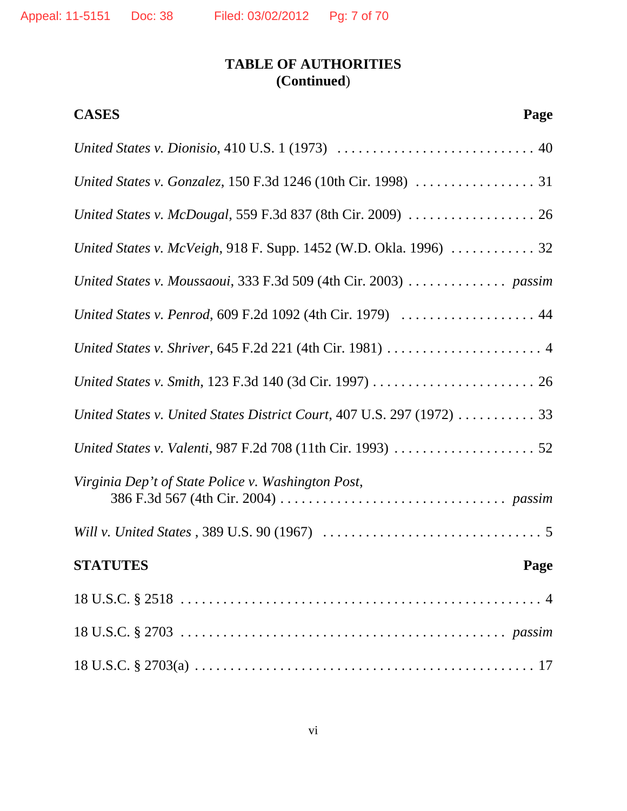| <b>CASES</b><br>Page                                                                   |
|----------------------------------------------------------------------------------------|
|                                                                                        |
|                                                                                        |
|                                                                                        |
|                                                                                        |
| United States v. Moussaoui, 333 F.3d 509 (4th Cir. 2003) $\ldots \ldots \ldots$ passim |
| United States v. Penrod, 609 F.2d 1092 (4th Cir. 1979)  44                             |
|                                                                                        |
|                                                                                        |
| United States v. United States District Court, 407 U.S. 297 (1972)  33                 |
|                                                                                        |
| Virginia Dep't of State Police v. Washington Post,                                     |
|                                                                                        |
| <b>STATUTES</b><br>Page                                                                |
|                                                                                        |
|                                                                                        |
|                                                                                        |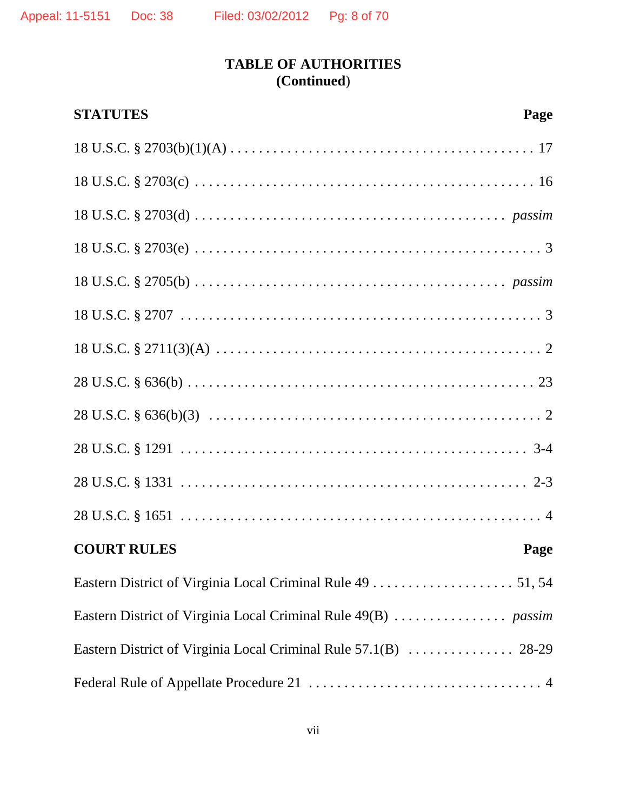| <b>STATUTES</b><br>Page    |  |
|----------------------------|--|
|                            |  |
|                            |  |
|                            |  |
|                            |  |
|                            |  |
|                            |  |
|                            |  |
|                            |  |
|                            |  |
|                            |  |
|                            |  |
|                            |  |
| <b>COURT RULES</b><br>Page |  |
|                            |  |
|                            |  |
|                            |  |
|                            |  |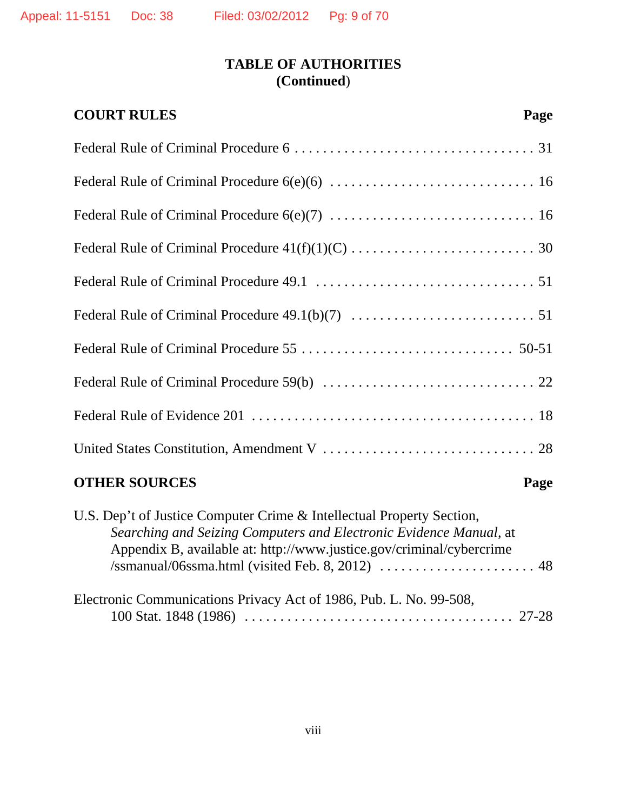| <b>COURT RULES</b>   | Page |
|----------------------|------|
|                      |      |
|                      |      |
|                      |      |
|                      |      |
|                      |      |
|                      |      |
|                      |      |
|                      |      |
|                      |      |
|                      |      |
| <b>OTHER SOURCES</b> | Page |

| U.S. Dep't of Justice Computer Crime & Intellectual Property Section, |  |
|-----------------------------------------------------------------------|--|
| Searching and Seizing Computers and Electronic Evidence Manual, at    |  |
| Appendix B, available at: http://www.justice.gov/criminal/cybercrime  |  |
|                                                                       |  |
|                                                                       |  |
| Electronic Communications Privacy Act of 1986, Pub. L. No. 99-508,    |  |
|                                                                       |  |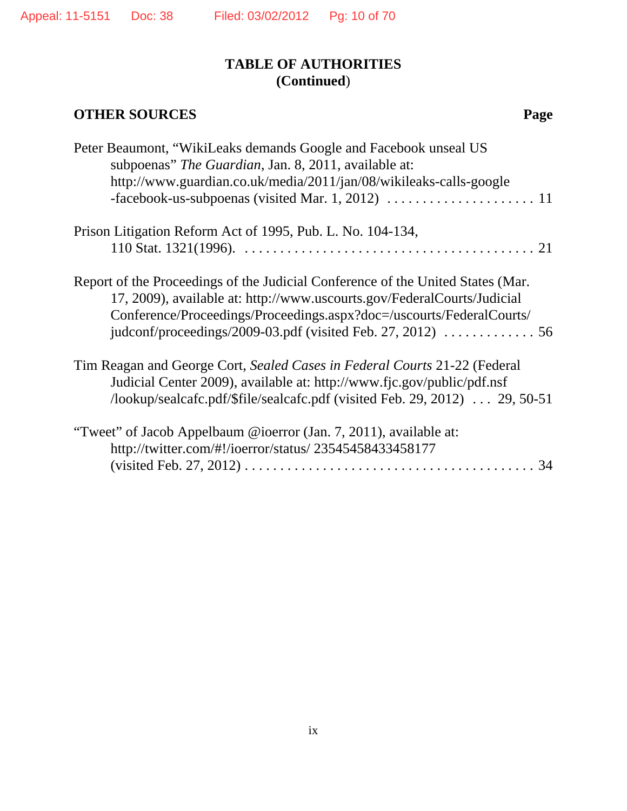# **OTHER SOURCES** Page

| Peter Beaumont, "WikiLeaks demands Google and Facebook unseal US<br>subpoenas" The Guardian, Jan. 8, 2011, available at:<br>http://www.guardian.co.uk/media/2011/jan/08/wikileaks-calls-google                                     |
|------------------------------------------------------------------------------------------------------------------------------------------------------------------------------------------------------------------------------------|
| Prison Litigation Reform Act of 1995, Pub. L. No. 104-134,                                                                                                                                                                         |
| Report of the Proceedings of the Judicial Conference of the United States (Mar.<br>17, 2009), available at: http://www.uscourts.gov/FederalCourts/Judicial<br>Conference/Proceedings/Proceedings.aspx?doc=/uscourts/FederalCourts/ |
| Tim Reagan and George Cort, Sealed Cases in Federal Courts 21-22 (Federal<br>Judicial Center 2009), available at: http://www.fjc.gov/public/pdf.nsf<br>/lookup/sealcafc.pdf/\$file/sealcafc.pdf (visited Feb. 29, 2012)  29, 50-51 |
| "Tweet" of Jacob Appelbaum @ioerror (Jan. 7, 2011), available at:<br>http://twitter.com/#!/ioerror/status/ 23545458433458177                                                                                                       |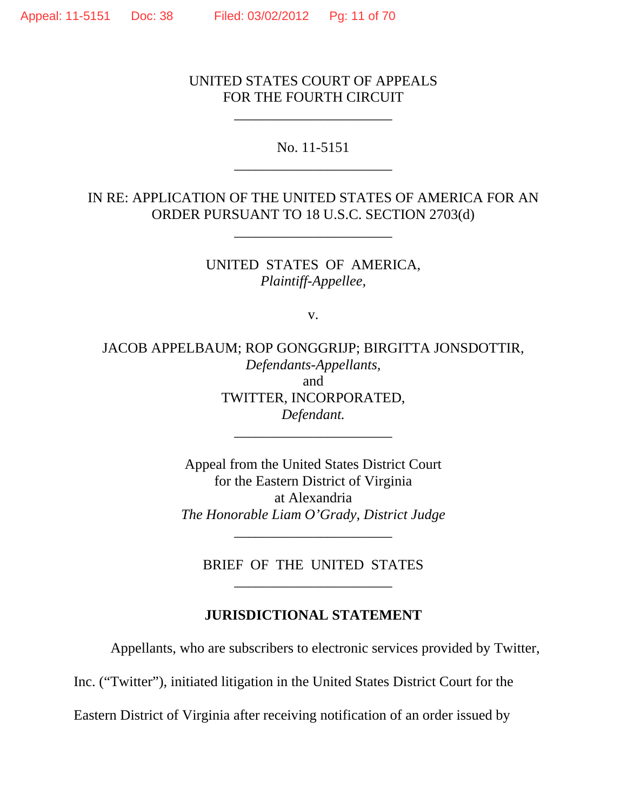### UNITED STATES COURT OF APPEALS FOR THE FOURTH CIRCUIT

\_\_\_\_\_\_\_\_\_\_\_\_\_\_\_\_\_\_\_\_\_\_

No. 11-5151 \_\_\_\_\_\_\_\_\_\_\_\_\_\_\_\_\_\_\_\_\_\_

IN RE: APPLICATION OF THE UNITED STATES OF AMERICA FOR AN ORDER PURSUANT TO 18 U.S.C. SECTION 2703(d)

\_\_\_\_\_\_\_\_\_\_\_\_\_\_\_\_\_\_\_\_\_\_

UNITED STATES OF AMERICA, *Plaintiff-Appellee,*

v.

JACOB APPELBAUM; ROP GONGGRIJP; BIRGITTA JONSDOTTIR, *Defendants-Appellants,* and TWITTER, INCORPORATED, *Defendant.*

\_\_\_\_\_\_\_\_\_\_\_\_\_\_\_\_\_\_\_\_\_\_

Appeal from the United States District Court for the Eastern District of Virginia at Alexandria *The Honorable Liam O'Grady, District Judge*

BRIEF OF THE UNITED STATES \_\_\_\_\_\_\_\_\_\_\_\_\_\_\_\_\_\_\_\_\_\_

\_\_\_\_\_\_\_\_\_\_\_\_\_\_\_\_\_\_\_\_\_\_

#### **JURISDICTIONAL STATEMENT**

Appellants, who are subscribers to electronic services provided by Twitter,

Inc. ("Twitter"), initiated litigation in the United States District Court for the

Eastern District of Virginia after receiving notification of an order issued by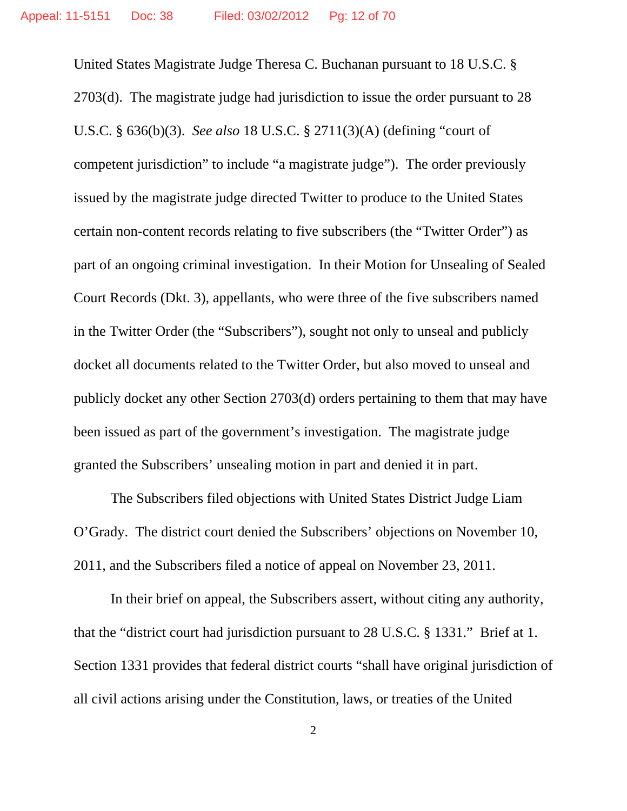United States Magistrate Judge Theresa C. Buchanan pursuant to 18 U.S.C. § 2703(d). The magistrate judge had jurisdiction to issue the order pursuant to 28 U.S.C. § 636(b)(3). *See also* 18 U.S.C. § 2711(3)(A) (defining "court of competent jurisdiction" to include "a magistrate judge"). The order previously issued by the magistrate judge directed Twitter to produce to the United States certain non-content records relating to five subscribers (the "Twitter Order") as part of an ongoing criminal investigation. In their Motion for Unsealing of Sealed Court Records (Dkt. 3), appellants, who were three of the five subscribers named in the Twitter Order (the "Subscribers"), sought not only to unseal and publicly docket all documents related to the Twitter Order, but also moved to unseal and publicly docket any other Section 2703(d) orders pertaining to them that may have been issued as part of the government's investigation. The magistrate judge granted the Subscribers' unsealing motion in part and denied it in part.

The Subscribers filed objections with United States District Judge Liam O'Grady. The district court denied the Subscribers' objections on November 10, 2011, and the Subscribers filed a notice of appeal on November 23, 2011.

In their brief on appeal, the Subscribers assert, without citing any authority, that the "district court had jurisdiction pursuant to 28 U.S.C. § 1331." Brief at 1. Section 1331 provides that federal district courts "shall have original jurisdiction of all civil actions arising under the Constitution, laws, or treaties of the United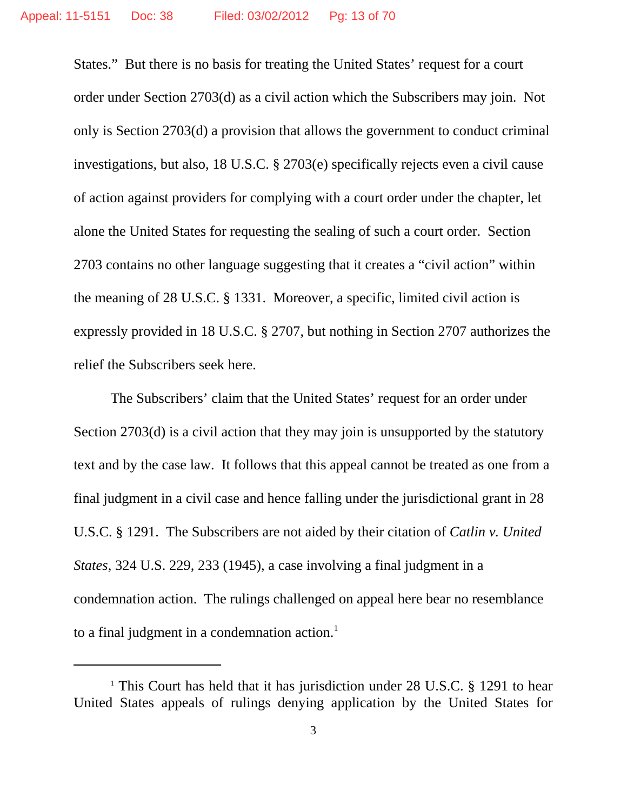States." But there is no basis for treating the United States' request for a court order under Section 2703(d) as a civil action which the Subscribers may join. Not only is Section 2703(d) a provision that allows the government to conduct criminal investigations, but also, 18 U.S.C. § 2703(e) specifically rejects even a civil cause of action against providers for complying with a court order under the chapter, let alone the United States for requesting the sealing of such a court order. Section 2703 contains no other language suggesting that it creates a "civil action" within the meaning of 28 U.S.C. § 1331. Moreover, a specific, limited civil action is expressly provided in 18 U.S.C. § 2707, but nothing in Section 2707 authorizes the relief the Subscribers seek here.

The Subscribers' claim that the United States' request for an order under Section 2703(d) is a civil action that they may join is unsupported by the statutory text and by the case law. It follows that this appeal cannot be treated as one from a final judgment in a civil case and hence falling under the jurisdictional grant in 28 U.S.C. § 1291. The Subscribers are not aided by their citation of *Catlin v. United States*, 324 U.S. 229, 233 (1945), a case involving a final judgment in a condemnation action. The rulings challenged on appeal here bear no resemblance to a final judgment in a condemnation action. $<sup>1</sup>$ </sup>

<sup>&</sup>lt;sup>1</sup> This Court has held that it has jurisdiction under 28 U.S.C. § 1291 to hear United States appeals of rulings denying application by the United States for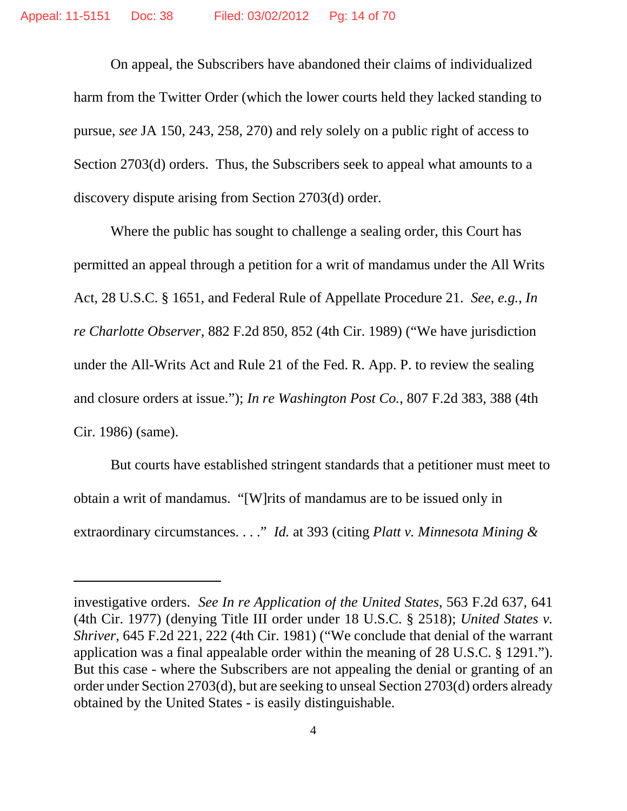On appeal, the Subscribers have abandoned their claims of individualized harm from the Twitter Order (which the lower courts held they lacked standing to pursue, *see* JA 150, 243, 258, 270) and rely solely on a public right of access to Section 2703(d) orders. Thus, the Subscribers seek to appeal what amounts to a discovery dispute arising from Section 2703(d) order.

Where the public has sought to challenge a sealing order, this Court has permitted an appeal through a petition for a writ of mandamus under the All Writs Act, 28 U.S.C. § 1651, and Federal Rule of Appellate Procedure 21. *See*, *e.g.*, *In re Charlotte Observer*, 882 F.2d 850, 852 (4th Cir. 1989) ("We have jurisdiction under the All-Writs Act and Rule 21 of the Fed. R. App. P. to review the sealing and closure orders at issue."); *In re Washington Post Co.*, 807 F.2d 383, 388 (4th Cir. 1986) (same).

But courts have established stringent standards that a petitioner must meet to obtain a writ of mandamus. "[W]rits of mandamus are to be issued only in extraordinary circumstances. . . ." *Id.* at 393 (citing *Platt v. Minnesota Mining &*

investigative orders. *See In re Application of the United States*, 563 F.2d 637, 641 (4th Cir. 1977) (denying Title III order under 18 U.S.C. § 2518); *United States v. Shriver*, 645 F.2d 221, 222 (4th Cir. 1981) ("We conclude that denial of the warrant application was a final appealable order within the meaning of 28 U.S.C. § 1291."). But this case - where the Subscribers are not appealing the denial or granting of an order under Section 2703(d), but are seeking to unseal Section 2703(d) orders already obtained by the United States - is easily distinguishable.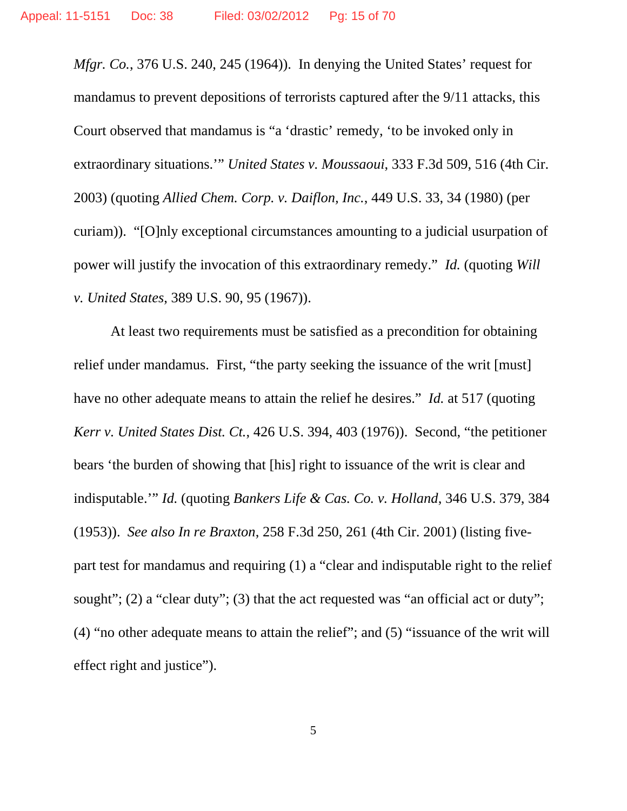*Mfgr. Co.*, 376 U.S. 240, 245 (1964)). In denying the United States' request for mandamus to prevent depositions of terrorists captured after the 9/11 attacks, this Court observed that mandamus is "a 'drastic' remedy, 'to be invoked only in extraordinary situations.'" *United States v. Moussaoui*, 333 F.3d 509, 516 (4th Cir. 2003) (quoting *Allied Chem. Corp. v. Daiflon, Inc.*, 449 U.S. 33, 34 (1980) (per curiam)). "[O]nly exceptional circumstances amounting to a judicial usurpation of power will justify the invocation of this extraordinary remedy." *Id.* (quoting *Will v. United States*, 389 U.S. 90, 95 (1967)).

At least two requirements must be satisfied as a precondition for obtaining relief under mandamus. First, "the party seeking the issuance of the writ [must] have no other adequate means to attain the relief he desires." *Id.* at 517 (quoting *Kerr v. United States Dist. Ct.*, 426 U.S. 394, 403 (1976)). Second, "the petitioner bears 'the burden of showing that [his] right to issuance of the writ is clear and indisputable.'" *Id.* (quoting *Bankers Life & Cas. Co. v. Holland*, 346 U.S. 379, 384 (1953)). *See also In re Braxton*, 258 F.3d 250, 261 (4th Cir. 2001) (listing fivepart test for mandamus and requiring (1) a "clear and indisputable right to the relief sought"; (2) a "clear duty"; (3) that the act requested was "an official act or duty"; (4) "no other adequate means to attain the relief"; and (5) "issuance of the writ will effect right and justice").

5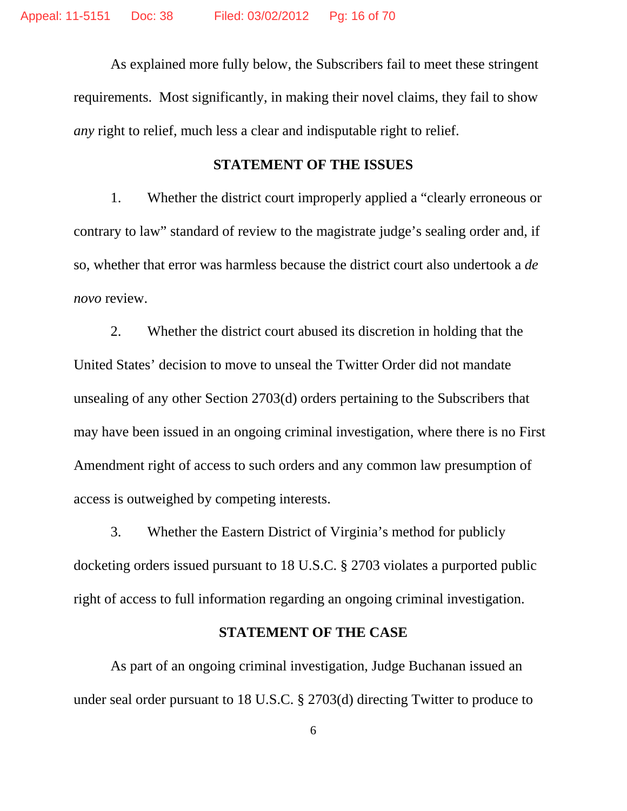As explained more fully below, the Subscribers fail to meet these stringent requirements. Most significantly, in making their novel claims, they fail to show *any* right to relief, much less a clear and indisputable right to relief.

#### **STATEMENT OF THE ISSUES**

1. Whether the district court improperly applied a "clearly erroneous or contrary to law" standard of review to the magistrate judge's sealing order and, if so, whether that error was harmless because the district court also undertook a *de novo* review.

2. Whether the district court abused its discretion in holding that the United States' decision to move to unseal the Twitter Order did not mandate unsealing of any other Section 2703(d) orders pertaining to the Subscribers that may have been issued in an ongoing criminal investigation, where there is no First Amendment right of access to such orders and any common law presumption of access is outweighed by competing interests.

3. Whether the Eastern District of Virginia's method for publicly docketing orders issued pursuant to 18 U.S.C. § 2703 violates a purported public right of access to full information regarding an ongoing criminal investigation.

## **STATEMENT OF THE CASE**

As part of an ongoing criminal investigation, Judge Buchanan issued an under seal order pursuant to 18 U.S.C. § 2703(d) directing Twitter to produce to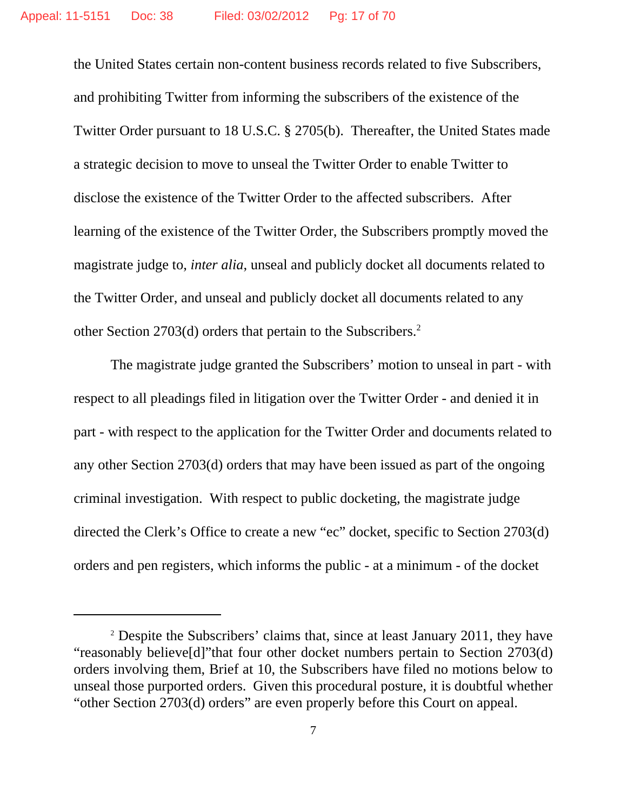the United States certain non-content business records related to five Subscribers, and prohibiting Twitter from informing the subscribers of the existence of the Twitter Order pursuant to 18 U.S.C. § 2705(b). Thereafter, the United States made a strategic decision to move to unseal the Twitter Order to enable Twitter to disclose the existence of the Twitter Order to the affected subscribers. After learning of the existence of the Twitter Order, the Subscribers promptly moved the magistrate judge to, *inter alia*, unseal and publicly docket all documents related to the Twitter Order, and unseal and publicly docket all documents related to any other Section 2703(d) orders that pertain to the Subscribers.<sup>2</sup>

The magistrate judge granted the Subscribers' motion to unseal in part - with respect to all pleadings filed in litigation over the Twitter Order - and denied it in part - with respect to the application for the Twitter Order and documents related to any other Section 2703(d) orders that may have been issued as part of the ongoing criminal investigation. With respect to public docketing, the magistrate judge directed the Clerk's Office to create a new "ec" docket, specific to Section 2703(d) orders and pen registers, which informs the public - at a minimum - of the docket

<sup>&</sup>lt;sup>2</sup> Despite the Subscribers' claims that, since at least January 2011, they have "reasonably believe[d]"that four other docket numbers pertain to Section 2703(d) orders involving them, Brief at 10, the Subscribers have filed no motions below to unseal those purported orders. Given this procedural posture, it is doubtful whether "other Section 2703(d) orders" are even properly before this Court on appeal.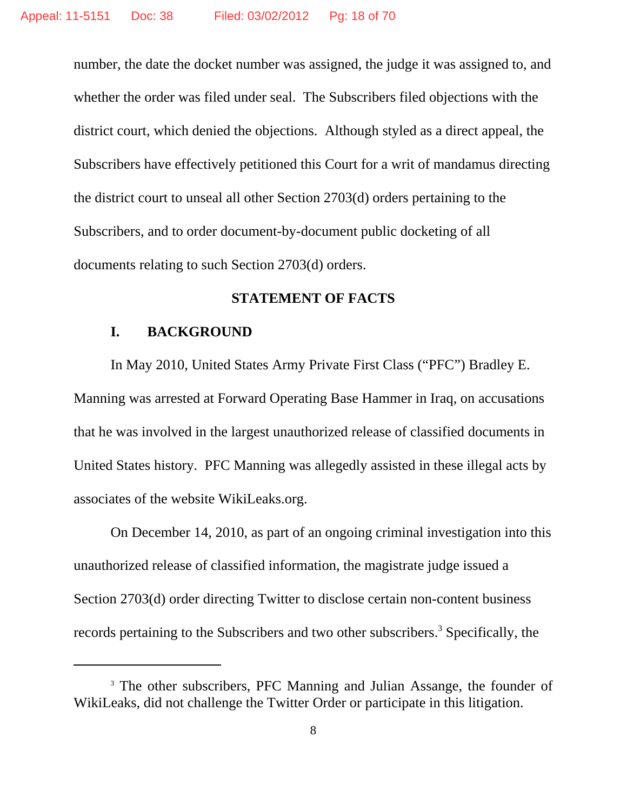number, the date the docket number was assigned, the judge it was assigned to, and whether the order was filed under seal. The Subscribers filed objections with the district court, which denied the objections. Although styled as a direct appeal, the Subscribers have effectively petitioned this Court for a writ of mandamus directing the district court to unseal all other Section 2703(d) orders pertaining to the Subscribers, and to order document-by-document public docketing of all documents relating to such Section 2703(d) orders.

#### **STATEMENT OF FACTS**

### **I. BACKGROUND**

In May 2010, United States Army Private First Class ("PFC") Bradley E. Manning was arrested at Forward Operating Base Hammer in Iraq, on accusations that he was involved in the largest unauthorized release of classified documents in United States history. PFC Manning was allegedly assisted in these illegal acts by associates of the website WikiLeaks.org.

On December 14, 2010, as part of an ongoing criminal investigation into this unauthorized release of classified information, the magistrate judge issued a Section 2703(d) order directing Twitter to disclose certain non-content business records pertaining to the Subscribers and two other subscribers.<sup>3</sup> Specifically, the

<sup>&</sup>lt;sup>3</sup> The other subscribers, PFC Manning and Julian Assange, the founder of WikiLeaks, did not challenge the Twitter Order or participate in this litigation.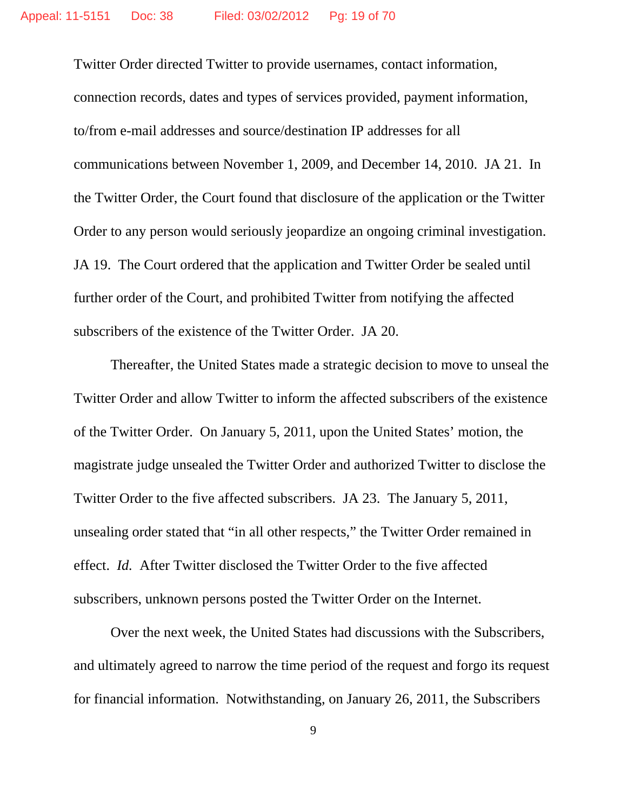Twitter Order directed Twitter to provide usernames, contact information, connection records, dates and types of services provided, payment information, to/from e-mail addresses and source/destination IP addresses for all communications between November 1, 2009, and December 14, 2010. JA 21. In the Twitter Order, the Court found that disclosure of the application or the Twitter Order to any person would seriously jeopardize an ongoing criminal investigation. JA 19. The Court ordered that the application and Twitter Order be sealed until further order of the Court, and prohibited Twitter from notifying the affected subscribers of the existence of the Twitter Order. JA 20.

Thereafter, the United States made a strategic decision to move to unseal the Twitter Order and allow Twitter to inform the affected subscribers of the existence of the Twitter Order. On January 5, 2011, upon the United States' motion, the magistrate judge unsealed the Twitter Order and authorized Twitter to disclose the Twitter Order to the five affected subscribers. JA 23. The January 5, 2011, unsealing order stated that "in all other respects," the Twitter Order remained in effect. *Id.* After Twitter disclosed the Twitter Order to the five affected subscribers, unknown persons posted the Twitter Order on the Internet.

Over the next week, the United States had discussions with the Subscribers, and ultimately agreed to narrow the time period of the request and forgo its request for financial information. Notwithstanding, on January 26, 2011, the Subscribers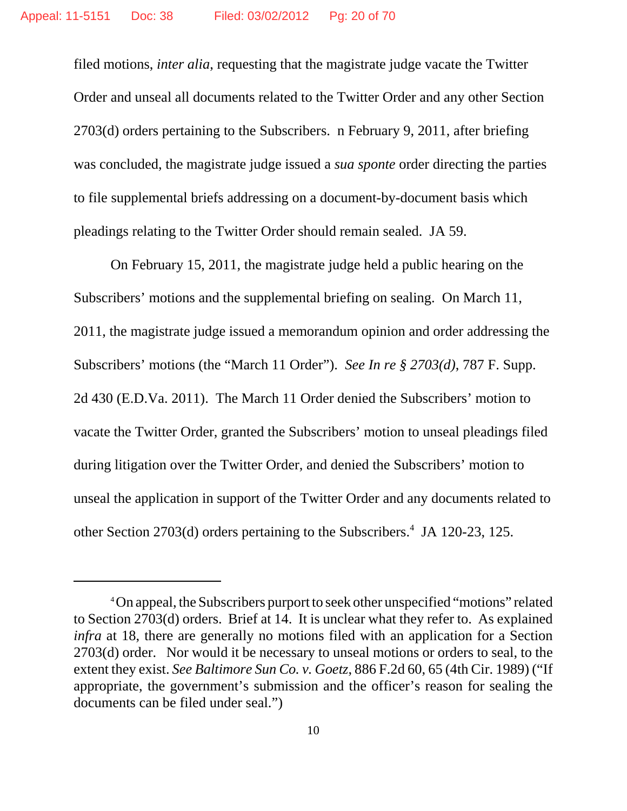filed motions, *inter alia*, requesting that the magistrate judge vacate the Twitter Order and unseal all documents related to the Twitter Order and any other Section 2703(d) orders pertaining to the Subscribers. n February 9, 2011, after briefing was concluded, the magistrate judge issued a *sua sponte* order directing the parties to file supplemental briefs addressing on a document-by-document basis which pleadings relating to the Twitter Order should remain sealed. JA 59.

On February 15, 2011, the magistrate judge held a public hearing on the Subscribers' motions and the supplemental briefing on sealing. On March 11, 2011, the magistrate judge issued a memorandum opinion and order addressing the Subscribers' motions (the "March 11 Order"). *See In re § 2703(d)*, 787 F. Supp. 2d 430 (E.D.Va. 2011). The March 11 Order denied the Subscribers' motion to vacate the Twitter Order, granted the Subscribers' motion to unseal pleadings filed during litigation over the Twitter Order, and denied the Subscribers' motion to unseal the application in support of the Twitter Order and any documents related to other Section 2703(d) orders pertaining to the Subscribers.<sup>4</sup> JA 120-23, 125.

<sup>4</sup>On appeal, the Subscribers purport to seek other unspecified "motions" related to Section 2703(d) orders. Brief at 14. It is unclear what they refer to. As explained *infra* at 18, there are generally no motions filed with an application for a Section 2703(d) order. Nor would it be necessary to unseal motions or orders to seal, to the extent they exist. *See Baltimore Sun Co. v. Goetz*, 886 F.2d 60, 65 (4th Cir. 1989) ("If appropriate, the government's submission and the officer's reason for sealing the documents can be filed under seal.")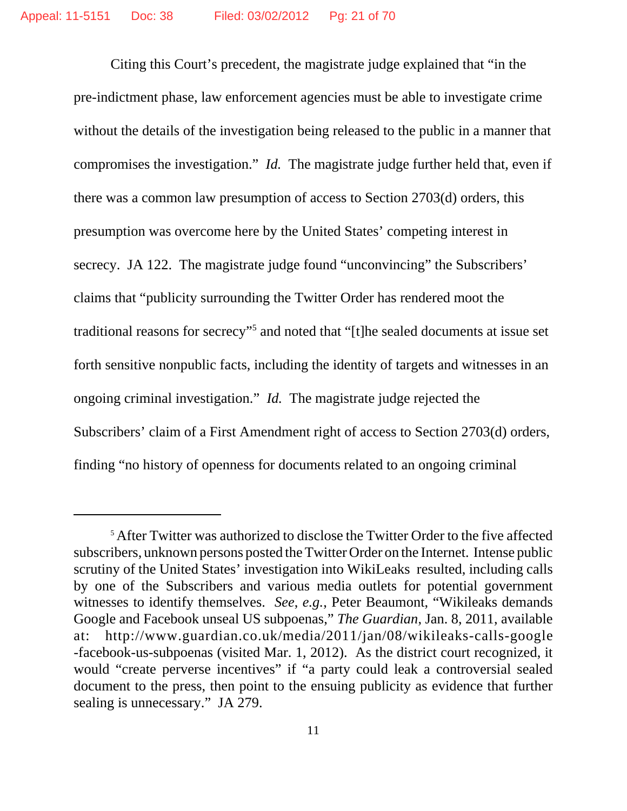Citing this Court's precedent, the magistrate judge explained that "in the pre-indictment phase, law enforcement agencies must be able to investigate crime without the details of the investigation being released to the public in a manner that compromises the investigation." *Id.* The magistrate judge further held that, even if there was a common law presumption of access to Section 2703(d) orders, this presumption was overcome here by the United States' competing interest in secrecy. JA 122. The magistrate judge found "unconvincing" the Subscribers' claims that "publicity surrounding the Twitter Order has rendered moot the traditional reasons for secrecy"<sup>5</sup> and noted that "[t]he sealed documents at issue set forth sensitive nonpublic facts, including the identity of targets and witnesses in an ongoing criminal investigation." *Id.* The magistrate judge rejected the Subscribers' claim of a First Amendment right of access to Section 2703(d) orders, finding "no history of openness for documents related to an ongoing criminal

<sup>&</sup>lt;sup>5</sup> After Twitter was authorized to disclose the Twitter Order to the five affected subscribers, unknown persons posted the Twitter Order on the Internet. Intense public scrutiny of the United States' investigation into WikiLeaks resulted, including calls by one of the Subscribers and various media outlets for potential government witnesses to identify themselves. *See*, *e.g.*, Peter Beaumont, "Wikileaks demands Google and Facebook unseal US subpoenas," *The Guardian*, Jan. 8, 2011, available at: http://www.guardian.co.uk/media/2011/jan/08/wikileaks-calls-google -facebook-us-subpoenas (visited Mar. 1, 2012). As the district court recognized, it would "create perverse incentives" if "a party could leak a controversial sealed document to the press, then point to the ensuing publicity as evidence that further sealing is unnecessary." JA 279.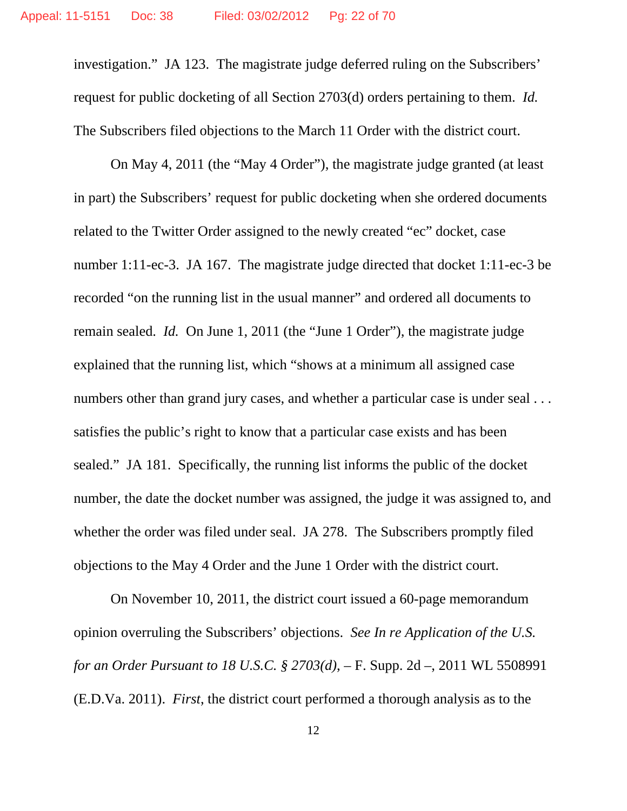investigation." JA 123. The magistrate judge deferred ruling on the Subscribers' request for public docketing of all Section 2703(d) orders pertaining to them. *Id.*  The Subscribers filed objections to the March 11 Order with the district court.

On May 4, 2011 (the "May 4 Order"), the magistrate judge granted (at least in part) the Subscribers' request for public docketing when she ordered documents related to the Twitter Order assigned to the newly created "ec" docket, case number 1:11-ec-3. JA 167. The magistrate judge directed that docket 1:11-ec-3 be recorded "on the running list in the usual manner" and ordered all documents to remain sealed. *Id.* On June 1, 2011 (the "June 1 Order"), the magistrate judge explained that the running list, which "shows at a minimum all assigned case numbers other than grand jury cases, and whether a particular case is under seal ... satisfies the public's right to know that a particular case exists and has been sealed." JA 181. Specifically, the running list informs the public of the docket number, the date the docket number was assigned, the judge it was assigned to, and whether the order was filed under seal. JA 278. The Subscribers promptly filed objections to the May 4 Order and the June 1 Order with the district court.

On November 10, 2011, the district court issued a 60-page memorandum opinion overruling the Subscribers' objections. *See In re Application of the U.S. for an Order Pursuant to 18 U.S.C. § 2703(d)*, – F. Supp. 2d –, 2011 WL 5508991 (E.D.Va. 2011). *First*, the district court performed a thorough analysis as to the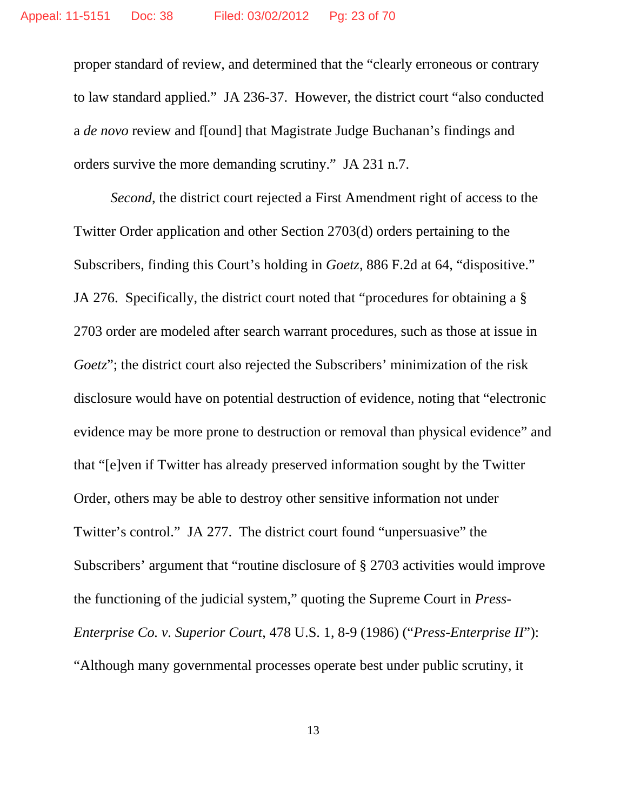proper standard of review, and determined that the "clearly erroneous or contrary to law standard applied." JA 236-37. However, the district court "also conducted a *de novo* review and f[ound] that Magistrate Judge Buchanan's findings and orders survive the more demanding scrutiny." JA 231 n.7.

*Second*, the district court rejected a First Amendment right of access to the Twitter Order application and other Section 2703(d) orders pertaining to the Subscribers, finding this Court's holding in *Goetz*, 886 F.2d at 64, "dispositive." JA 276. Specifically, the district court noted that "procedures for obtaining a § 2703 order are modeled after search warrant procedures, such as those at issue in *Goetz*"; the district court also rejected the Subscribers' minimization of the risk disclosure would have on potential destruction of evidence, noting that "electronic evidence may be more prone to destruction or removal than physical evidence" and that "[e]ven if Twitter has already preserved information sought by the Twitter Order, others may be able to destroy other sensitive information not under Twitter's control." JA 277. The district court found "unpersuasive" the Subscribers' argument that "routine disclosure of § 2703 activities would improve the functioning of the judicial system," quoting the Supreme Court in *Press-Enterprise Co. v. Superior Court*, 478 U.S. 1, 8-9 (1986) ("*Press-Enterprise II*"): "Although many governmental processes operate best under public scrutiny, it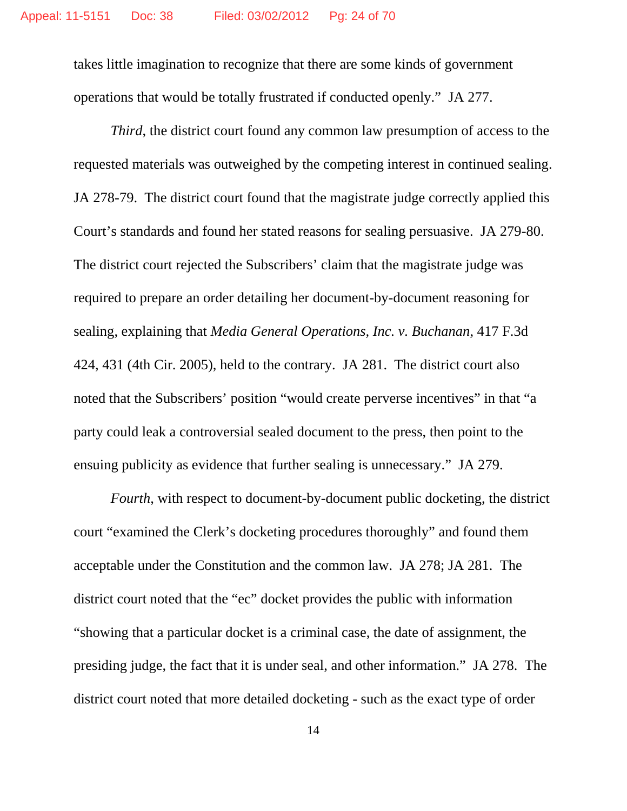takes little imagination to recognize that there are some kinds of government operations that would be totally frustrated if conducted openly." JA 277.

*Third*, the district court found any common law presumption of access to the requested materials was outweighed by the competing interest in continued sealing. JA 278-79. The district court found that the magistrate judge correctly applied this Court's standards and found her stated reasons for sealing persuasive. JA 279-80. The district court rejected the Subscribers' claim that the magistrate judge was required to prepare an order detailing her document-by-document reasoning for sealing, explaining that *Media General Operations, Inc. v. Buchanan*, 417 F.3d 424, 431 (4th Cir. 2005), held to the contrary. JA 281. The district court also noted that the Subscribers' position "would create perverse incentives" in that "a party could leak a controversial sealed document to the press, then point to the ensuing publicity as evidence that further sealing is unnecessary." JA 279.

*Fourth*, with respect to document-by-document public docketing, the district court "examined the Clerk's docketing procedures thoroughly" and found them acceptable under the Constitution and the common law. JA 278; JA 281. The district court noted that the "ec" docket provides the public with information "showing that a particular docket is a criminal case, the date of assignment, the presiding judge, the fact that it is under seal, and other information." JA 278. The district court noted that more detailed docketing - such as the exact type of order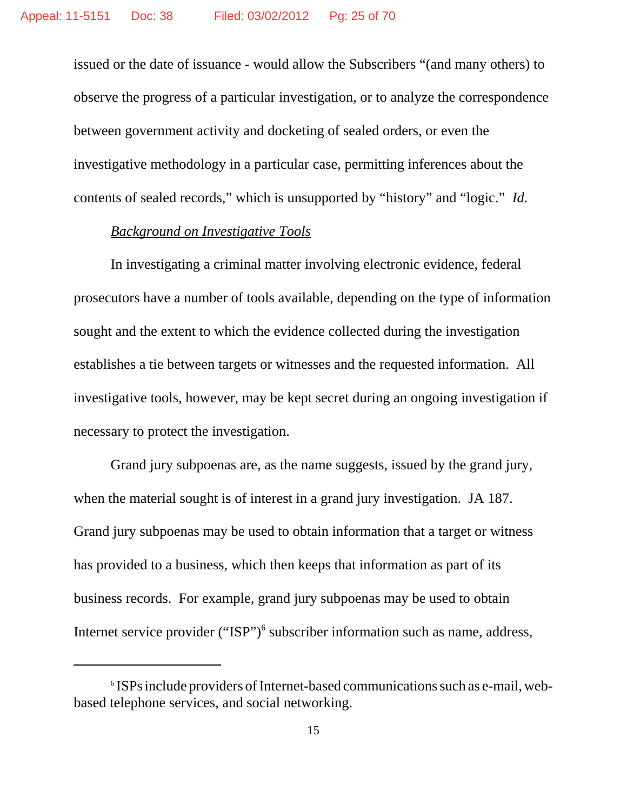issued or the date of issuance - would allow the Subscribers "(and many others) to observe the progress of a particular investigation, or to analyze the correspondence between government activity and docketing of sealed orders, or even the investigative methodology in a particular case, permitting inferences about the contents of sealed records," which is unsupported by "history" and "logic." *Id.*

#### *Background on Investigative Tools*

In investigating a criminal matter involving electronic evidence, federal prosecutors have a number of tools available, depending on the type of information sought and the extent to which the evidence collected during the investigation establishes a tie between targets or witnesses and the requested information. All investigative tools, however, may be kept secret during an ongoing investigation if necessary to protect the investigation.

Grand jury subpoenas are, as the name suggests, issued by the grand jury, when the material sought is of interest in a grand jury investigation. JA 187. Grand jury subpoenas may be used to obtain information that a target or witness has provided to a business, which then keeps that information as part of its business records. For example, grand jury subpoenas may be used to obtain Internet service provider ("ISP")<sup>6</sup> subscriber information such as name, address,

<sup>&</sup>lt;sup>6</sup> ISPs include providers of Internet-based communications such as e-mail, webbased telephone services, and social networking.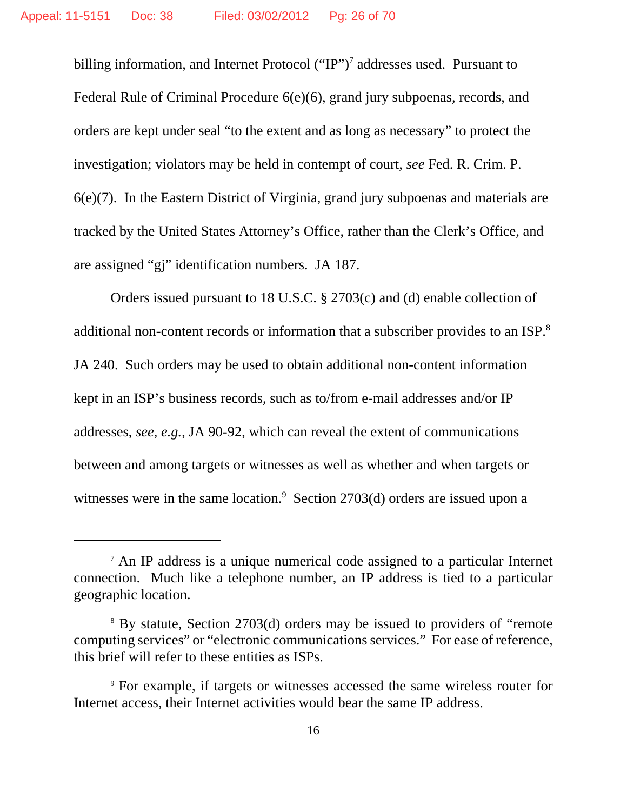billing information, and Internet Protocol  $("IP")^7$  addresses used. Pursuant to Federal Rule of Criminal Procedure 6(e)(6), grand jury subpoenas, records, and orders are kept under seal "to the extent and as long as necessary" to protect the investigation; violators may be held in contempt of court, *see* Fed. R. Crim. P. 6(e)(7). In the Eastern District of Virginia, grand jury subpoenas and materials are tracked by the United States Attorney's Office, rather than the Clerk's Office, and are assigned "gj" identification numbers. JA 187.

Orders issued pursuant to 18 U.S.C. § 2703(c) and (d) enable collection of additional non-content records or information that a subscriber provides to an ISP.8 JA 240. Such orders may be used to obtain additional non-content information kept in an ISP's business records, such as to/from e-mail addresses and/or IP addresses, *see*, *e.g.*, JA 90-92, which can reveal the extent of communications between and among targets or witnesses as well as whether and when targets or witnesses were in the same location.<sup>9</sup> Section 2703(d) orders are issued upon a

<sup>7</sup> An IP address is a unique numerical code assigned to a particular Internet connection. Much like a telephone number, an IP address is tied to a particular geographic location.

<sup>&</sup>lt;sup>8</sup> By statute, Section 2703(d) orders may be issued to providers of "remote computing services" or "electronic communications services." For ease of reference, this brief will refer to these entities as ISPs.

<sup>9</sup> For example, if targets or witnesses accessed the same wireless router for Internet access, their Internet activities would bear the same IP address.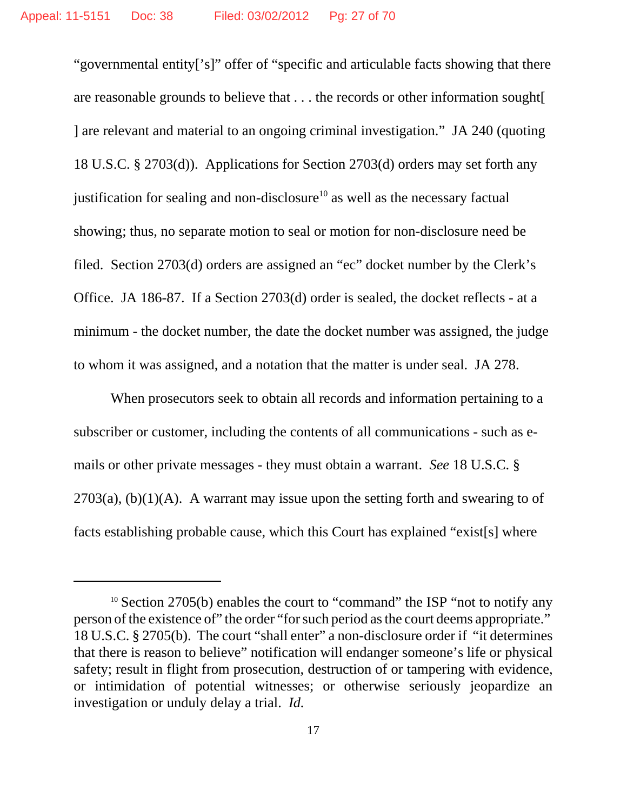"governmental entity['s]" offer of "specific and articulable facts showing that there are reasonable grounds to believe that . . . the records or other information sought[ ] are relevant and material to an ongoing criminal investigation." JA 240 (quoting 18 U.S.C. § 2703(d)). Applications for Section 2703(d) orders may set forth any justification for sealing and non-disclosure<sup>10</sup> as well as the necessary factual showing; thus, no separate motion to seal or motion for non-disclosure need be filed. Section 2703(d) orders are assigned an "ec" docket number by the Clerk's Office. JA 186-87. If a Section 2703(d) order is sealed, the docket reflects - at a minimum - the docket number, the date the docket number was assigned, the judge to whom it was assigned, and a notation that the matter is under seal. JA 278.

When prosecutors seek to obtain all records and information pertaining to a subscriber or customer, including the contents of all communications - such as emails or other private messages - they must obtain a warrant. *See* 18 U.S.C. §  $2703(a)$ , (b)(1)(A). A warrant may issue upon the setting forth and swearing to of facts establishing probable cause, which this Court has explained "exist[s] where

 $10$  Section 2705(b) enables the court to "command" the ISP "not to notify any person of the existence of" the order "for such period as the court deems appropriate." 18 U.S.C. § 2705(b). The court "shall enter" a non-disclosure order if "it determines that there is reason to believe" notification will endanger someone's life or physical safety; result in flight from prosecution, destruction of or tampering with evidence, or intimidation of potential witnesses; or otherwise seriously jeopardize an investigation or unduly delay a trial. *Id.*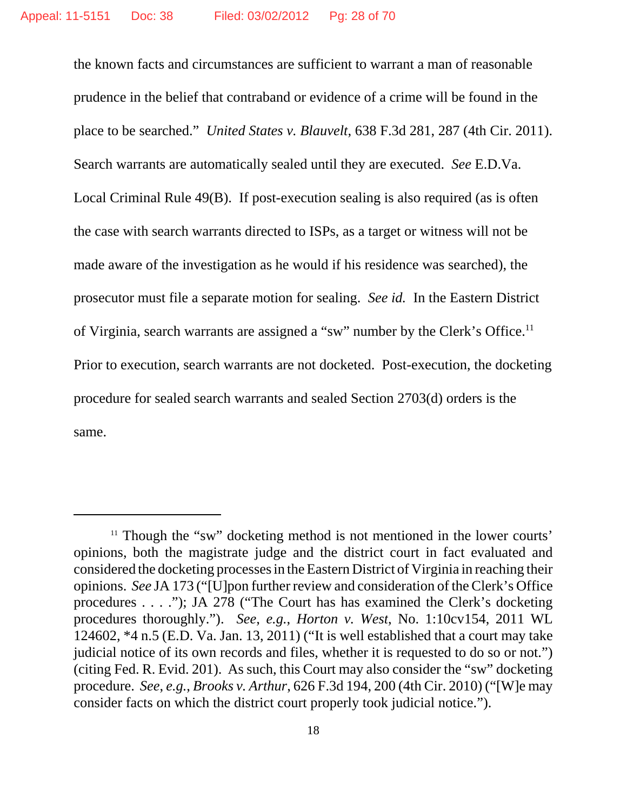the known facts and circumstances are sufficient to warrant a man of reasonable prudence in the belief that contraband or evidence of a crime will be found in the place to be searched." *United States v. Blauvelt*, 638 F.3d 281, 287 (4th Cir. 2011). Search warrants are automatically sealed until they are executed. *See* E.D.Va. Local Criminal Rule 49(B). If post-execution sealing is also required (as is often the case with search warrants directed to ISPs, as a target or witness will not be made aware of the investigation as he would if his residence was searched), the prosecutor must file a separate motion for sealing. *See id.* In the Eastern District of Virginia, search warrants are assigned a "sw" number by the Clerk's Office.11 Prior to execution, search warrants are not docketed. Post-execution, the docketing procedure for sealed search warrants and sealed Section 2703(d) orders is the same.

 $11$  Though the "sw" docketing method is not mentioned in the lower courts' opinions, both the magistrate judge and the district court in fact evaluated and considered the docketing processes in the Eastern District of Virginia in reaching their opinions. *See* JA 173 ("[U]pon further review and consideration of the Clerk's Office procedures . . . ."); JA 278 ("The Court has has examined the Clerk's docketing procedures thoroughly."). *See*, *e.g.*, *Horton v. West*, No. 1:10cv154, 2011 WL 124602, \*4 n.5 (E.D. Va. Jan. 13, 2011) ("It is well established that a court may take judicial notice of its own records and files, whether it is requested to do so or not.") (citing Fed. R. Evid. 201). As such, this Court may also consider the "sw" docketing procedure. *See*, *e.g.*, *Brooks v. Arthur*, 626 F.3d 194, 200 (4th Cir. 2010) ("[W]e may consider facts on which the district court properly took judicial notice.").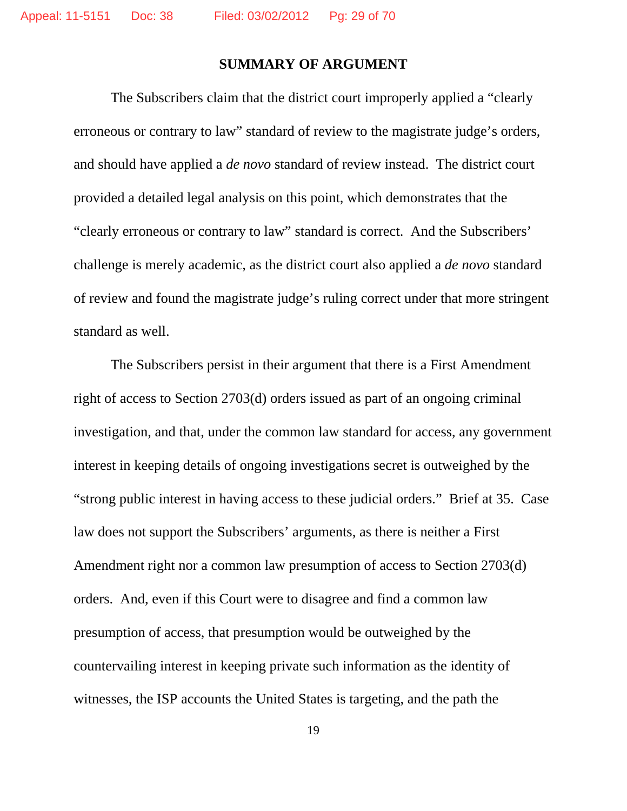## **SUMMARY OF ARGUMENT**

The Subscribers claim that the district court improperly applied a "clearly erroneous or contrary to law" standard of review to the magistrate judge's orders, and should have applied a *de novo* standard of review instead. The district court provided a detailed legal analysis on this point, which demonstrates that the "clearly erroneous or contrary to law" standard is correct. And the Subscribers' challenge is merely academic, as the district court also applied a *de novo* standard of review and found the magistrate judge's ruling correct under that more stringent standard as well.

The Subscribers persist in their argument that there is a First Amendment right of access to Section 2703(d) orders issued as part of an ongoing criminal investigation, and that, under the common law standard for access, any government interest in keeping details of ongoing investigations secret is outweighed by the "strong public interest in having access to these judicial orders." Brief at 35. Case law does not support the Subscribers' arguments, as there is neither a First Amendment right nor a common law presumption of access to Section 2703(d) orders. And, even if this Court were to disagree and find a common law presumption of access, that presumption would be outweighed by the countervailing interest in keeping private such information as the identity of witnesses, the ISP accounts the United States is targeting, and the path the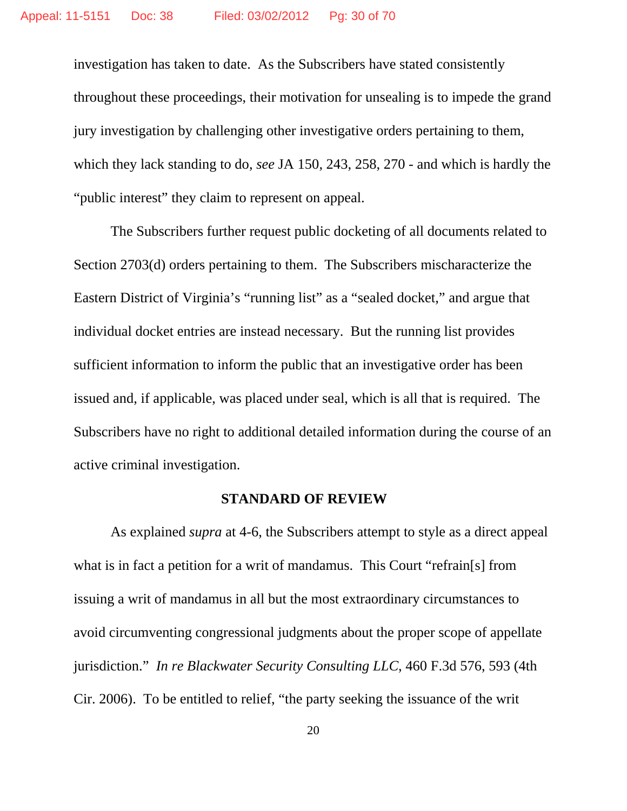investigation has taken to date. As the Subscribers have stated consistently throughout these proceedings, their motivation for unsealing is to impede the grand jury investigation by challenging other investigative orders pertaining to them, which they lack standing to do, *see* JA 150, 243, 258, 270 - and which is hardly the "public interest" they claim to represent on appeal.

The Subscribers further request public docketing of all documents related to Section 2703(d) orders pertaining to them. The Subscribers mischaracterize the Eastern District of Virginia's "running list" as a "sealed docket," and argue that individual docket entries are instead necessary. But the running list provides sufficient information to inform the public that an investigative order has been issued and, if applicable, was placed under seal, which is all that is required. The Subscribers have no right to additional detailed information during the course of an active criminal investigation.

#### **STANDARD OF REVIEW**

As explained *supra* at 4-6, the Subscribers attempt to style as a direct appeal what is in fact a petition for a writ of mandamus. This Court "refrain[s] from issuing a writ of mandamus in all but the most extraordinary circumstances to avoid circumventing congressional judgments about the proper scope of appellate jurisdiction." *In re Blackwater Security Consulting LLC*, 460 F.3d 576, 593 (4th Cir. 2006). To be entitled to relief, "the party seeking the issuance of the writ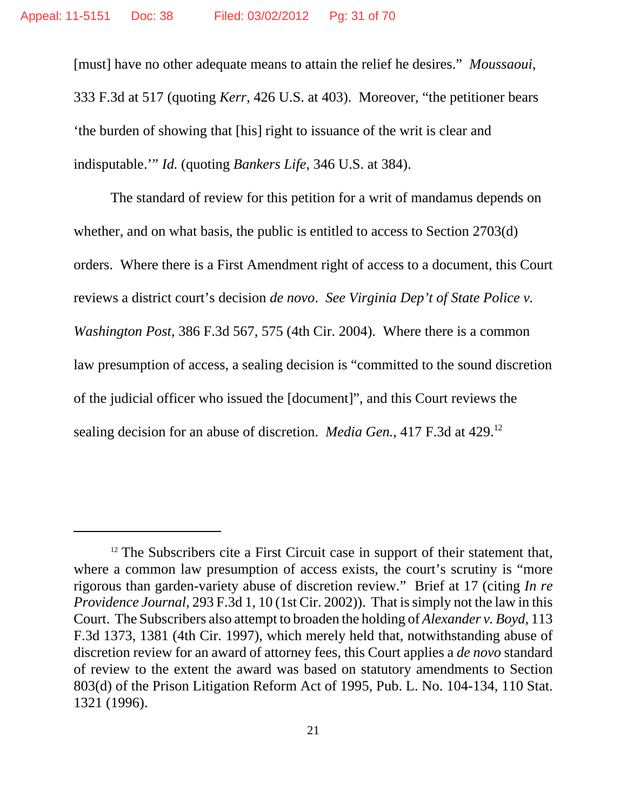[must] have no other adequate means to attain the relief he desires." *Moussaoui*, 333 F.3d at 517 (quoting *Kerr*, 426 U.S. at 403). Moreover, "the petitioner bears 'the burden of showing that [his] right to issuance of the writ is clear and indisputable.'" *Id.* (quoting *Bankers Life*, 346 U.S. at 384).

The standard of review for this petition for a writ of mandamus depends on whether, and on what basis, the public is entitled to access to Section 2703(d) orders. Where there is a First Amendment right of access to a document, this Court reviews a district court's decision *de novo*. *See Virginia Dep't of State Police v. Washington Post*, 386 F.3d 567, 575 (4th Cir. 2004). Where there is a common law presumption of access, a sealing decision is "committed to the sound discretion of the judicial officer who issued the [document]", and this Court reviews the sealing decision for an abuse of discretion. *Media Gen.*, 417 F.3d at 429.12

 $12$  The Subscribers cite a First Circuit case in support of their statement that, where a common law presumption of access exists, the court's scrutiny is "more" rigorous than garden-variety abuse of discretion review." Brief at 17 (citing *In re Providence Journal*, 293 F.3d 1, 10 (1st Cir. 2002)). That is simply not the law in this Court. The Subscribers also attempt to broaden the holding of *Alexander v. Boyd*, 113 F.3d 1373, 1381 (4th Cir. 1997), which merely held that, notwithstanding abuse of discretion review for an award of attorney fees, this Court applies a *de novo* standard of review to the extent the award was based on statutory amendments to Section 803(d) of the Prison Litigation Reform Act of 1995, Pub. L. No. 104-134, 110 Stat. 1321 (1996).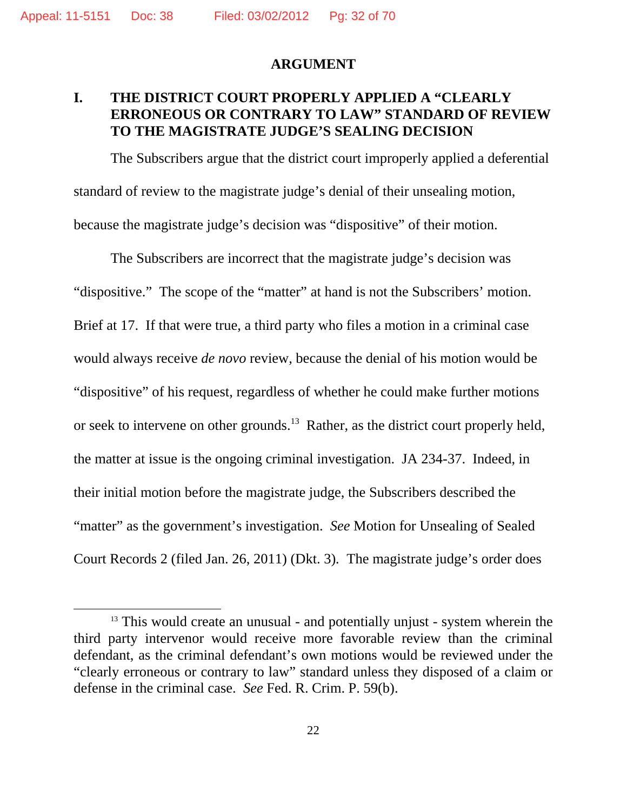#### **ARGUMENT**

## **I. THE DISTRICT COURT PROPERLY APPLIED A "CLEARLY ERRONEOUS OR CONTRARY TO LAW" STANDARD OF REVIEW TO THE MAGISTRATE JUDGE'S SEALING DECISION**

The Subscribers argue that the district court improperly applied a deferential standard of review to the magistrate judge's denial of their unsealing motion, because the magistrate judge's decision was "dispositive" of their motion.

The Subscribers are incorrect that the magistrate judge's decision was "dispositive." The scope of the "matter" at hand is not the Subscribers' motion. Brief at 17. If that were true, a third party who files a motion in a criminal case would always receive *de novo* review, because the denial of his motion would be "dispositive" of his request, regardless of whether he could make further motions or seek to intervene on other grounds.<sup>13</sup> Rather, as the district court properly held, the matter at issue is the ongoing criminal investigation. JA 234-37. Indeed, in their initial motion before the magistrate judge, the Subscribers described the "matter" as the government's investigation. *See* Motion for Unsealing of Sealed Court Records 2 (filed Jan. 26, 2011) (Dkt. 3)*.* The magistrate judge's order does

 $13$  This would create an unusual - and potentially unjust - system wherein the third party intervenor would receive more favorable review than the criminal defendant, as the criminal defendant's own motions would be reviewed under the "clearly erroneous or contrary to law" standard unless they disposed of a claim or defense in the criminal case. *See* Fed. R. Crim. P. 59(b).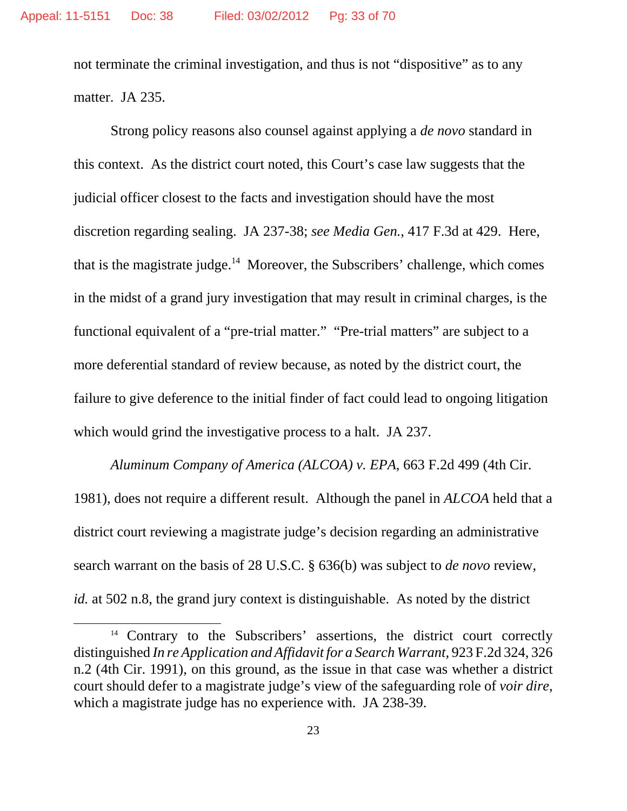not terminate the criminal investigation, and thus is not "dispositive" as to any matter. JA 235.

Strong policy reasons also counsel against applying a *de novo* standard in this context. As the district court noted, this Court's case law suggests that the judicial officer closest to the facts and investigation should have the most discretion regarding sealing. JA 237-38; *see Media Gen.*, 417 F.3d at 429. Here, that is the magistrate judge.<sup>14</sup> Moreover, the Subscribers' challenge, which comes in the midst of a grand jury investigation that may result in criminal charges, is the functional equivalent of a "pre-trial matter." "Pre-trial matters" are subject to a more deferential standard of review because, as noted by the district court, the failure to give deference to the initial finder of fact could lead to ongoing litigation which would grind the investigative process to a halt. JA 237.

*Aluminum Company of America (ALCOA) v. EPA*, 663 F.2d 499 (4th Cir. 1981), does not require a different result. Although the panel in *ALCOA* held that a district court reviewing a magistrate judge's decision regarding an administrative search warrant on the basis of 28 U.S.C. § 636(b) was subject to *de novo* review, *id.* at 502 n.8, the grand jury context is distinguishable. As noted by the district

<sup>&</sup>lt;sup>14</sup> Contrary to the Subscribers' assertions, the district court correctly distinguished *In re Application and Affidavit for a Search Warrant*, 923 F.2d 324, 326 n.2 (4th Cir. 1991), on this ground, as the issue in that case was whether a district court should defer to a magistrate judge's view of the safeguarding role of *voir dire*, which a magistrate judge has no experience with. JA 238-39.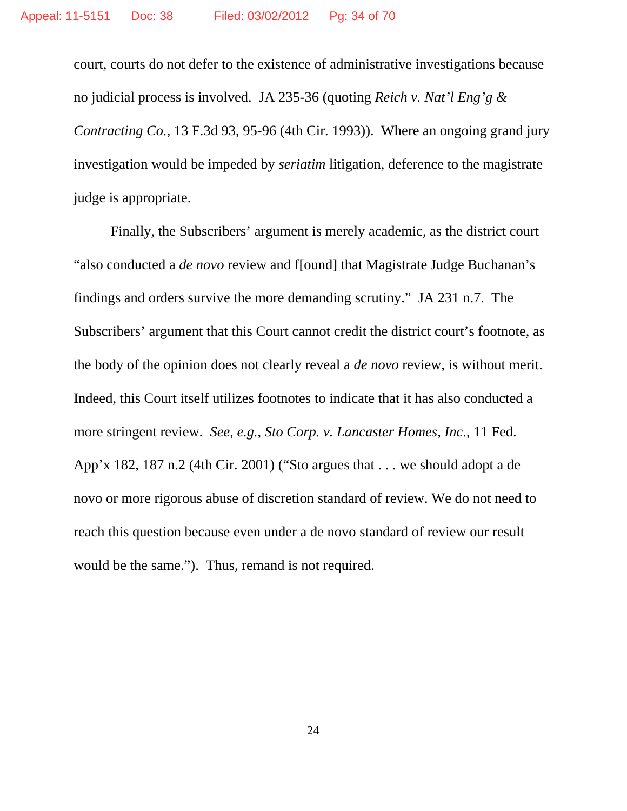court, courts do not defer to the existence of administrative investigations because no judicial process is involved. JA 235-36 (quoting *Reich v. Nat'l Eng'g & Contracting Co.*, 13 F.3d 93, 95-96 (4th Cir. 1993)). Where an ongoing grand jury investigation would be impeded by *seriatim* litigation, deference to the magistrate judge is appropriate.

Finally, the Subscribers' argument is merely academic, as the district court "also conducted a *de novo* review and f[ound] that Magistrate Judge Buchanan's findings and orders survive the more demanding scrutiny." JA 231 n.7. The Subscribers' argument that this Court cannot credit the district court's footnote, as the body of the opinion does not clearly reveal a *de novo* review, is without merit. Indeed, this Court itself utilizes footnotes to indicate that it has also conducted a more stringent review. *See*, *e.g.*, *Sto Corp. v. Lancaster Homes, Inc*., 11 Fed. App'x 182, 187 n.2 (4th Cir. 2001) ("Sto argues that . . . we should adopt a de novo or more rigorous abuse of discretion standard of review. We do not need to reach this question because even under a de novo standard of review our result would be the same."). Thus, remand is not required.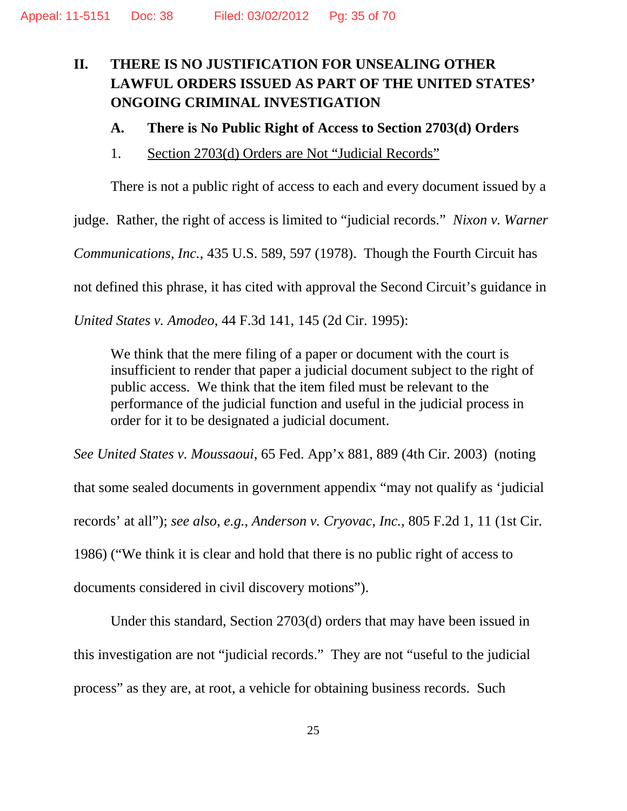## **II. THERE IS NO JUSTIFICATION FOR UNSEALING OTHER LAWFUL ORDERS ISSUED AS PART OF THE UNITED STATES' ONGOING CRIMINAL INVESTIGATION**

## **A. There is No Public Right of Access to Section 2703(d) Orders**

1. Section 2703(d) Orders are Not "Judicial Records"

There is not a public right of access to each and every document issued by a

judge. Rather, the right of access is limited to "judicial records." *Nixon v. Warner*

*Communications, Inc.*, 435 U.S. 589, 597 (1978). Though the Fourth Circuit has

not defined this phrase, it has cited with approval the Second Circuit's guidance in

*United States v. Amodeo*, 44 F.3d 141, 145 (2d Cir. 1995):

We think that the mere filing of a paper or document with the court is insufficient to render that paper a judicial document subject to the right of public access. We think that the item filed must be relevant to the performance of the judicial function and useful in the judicial process in order for it to be designated a judicial document.

*See United States v. Moussaoui*, 65 Fed. App'x 881, 889 (4th Cir. 2003) (noting

that some sealed documents in government appendix "may not qualify as 'judicial records' at all"); *see also*, *e.g.*, *Anderson v. Cryovac, Inc.*, 805 F.2d 1, 11 (1st Cir. 1986) ("We think it is clear and hold that there is no public right of access to documents considered in civil discovery motions").

Under this standard, Section 2703(d) orders that may have been issued in this investigation are not "judicial records." They are not "useful to the judicial process" as they are, at root, a vehicle for obtaining business records. Such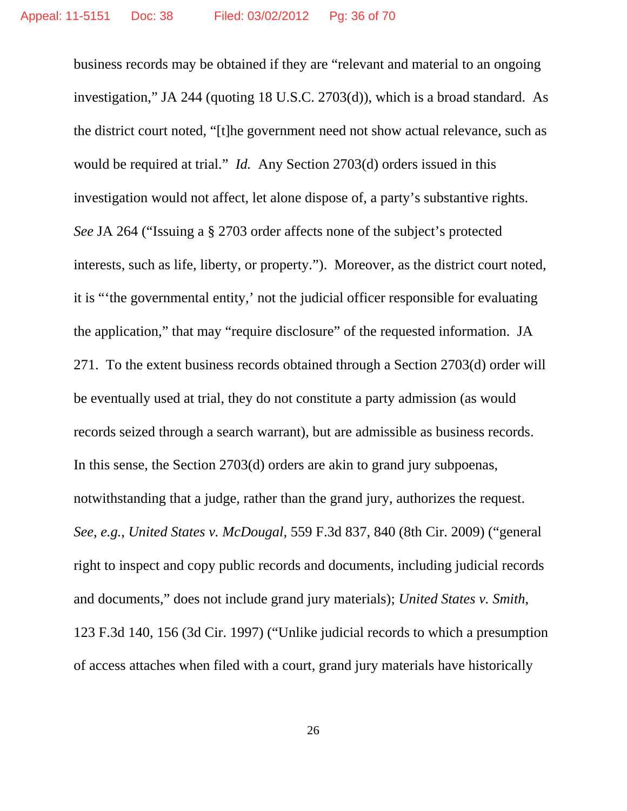business records may be obtained if they are "relevant and material to an ongoing investigation," JA 244 (quoting 18 U.S.C. 2703(d)), which is a broad standard. As the district court noted, "[t]he government need not show actual relevance, such as would be required at trial." *Id.* Any Section 2703(d) orders issued in this investigation would not affect, let alone dispose of, a party's substantive rights. *See* JA 264 ("Issuing a § 2703 order affects none of the subject's protected interests, such as life, liberty, or property."). Moreover, as the district court noted, it is "'the governmental entity,' not the judicial officer responsible for evaluating the application," that may "require disclosure" of the requested information. JA 271. To the extent business records obtained through a Section 2703(d) order will be eventually used at trial, they do not constitute a party admission (as would records seized through a search warrant), but are admissible as business records. In this sense, the Section 2703(d) orders are akin to grand jury subpoenas, notwithstanding that a judge, rather than the grand jury, authorizes the request. *See*, *e.g.*, *United States v. McDougal*, 559 F.3d 837, 840 (8th Cir. 2009) ("general right to inspect and copy public records and documents, including judicial records and documents," does not include grand jury materials); *United States v. Smith*, 123 F.3d 140, 156 (3d Cir. 1997) ("Unlike judicial records to which a presumption of access attaches when filed with a court, grand jury materials have historically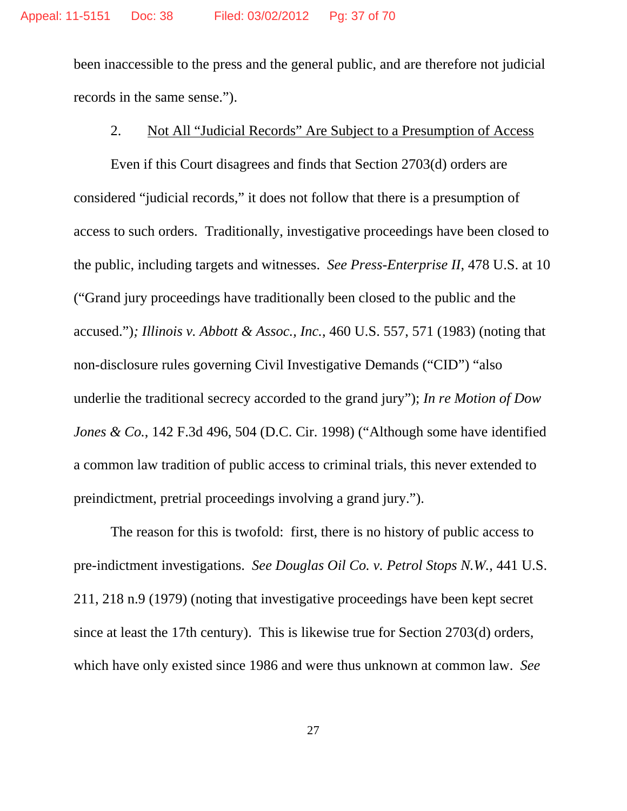been inaccessible to the press and the general public, and are therefore not judicial records in the same sense.").

### 2. Not All "Judicial Records" Are Subject to a Presumption of Access

Even if this Court disagrees and finds that Section 2703(d) orders are considered "judicial records," it does not follow that there is a presumption of access to such orders. Traditionally, investigative proceedings have been closed to the public, including targets and witnesses. *See Press-Enterprise II*, 478 U.S. at 10 ("Grand jury proceedings have traditionally been closed to the public and the accused.")*; Illinois v. Abbott & Assoc., Inc.*, 460 U.S. 557, 571 (1983) (noting that non-disclosure rules governing Civil Investigative Demands ("CID") "also underlie the traditional secrecy accorded to the grand jury"); *In re Motion of Dow Jones & Co.*, 142 F.3d 496, 504 (D.C. Cir. 1998) ("Although some have identified a common law tradition of public access to criminal trials, this never extended to preindictment, pretrial proceedings involving a grand jury.").

The reason for this is twofold: first, there is no history of public access to pre-indictment investigations. *See Douglas Oil Co. v. Petrol Stops N.W.*, 441 U.S. 211, 218 n.9 (1979) (noting that investigative proceedings have been kept secret since at least the 17th century). This is likewise true for Section 2703(d) orders, which have only existed since 1986 and were thus unknown at common law. *See*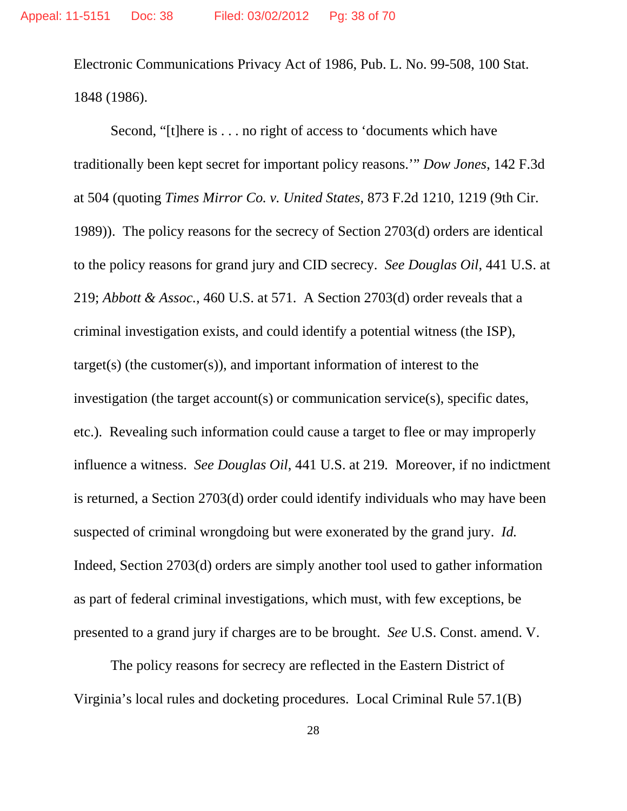Electronic Communications Privacy Act of 1986, Pub. L. No. 99-508, 100 Stat. 1848 (1986).

Second, "[t]here is . . . no right of access to 'documents which have traditionally been kept secret for important policy reasons.'" *Dow Jones*, 142 F.3d at 504 (quoting *Times Mirror Co. v. United States*, 873 F.2d 1210, 1219 (9th Cir. 1989)). The policy reasons for the secrecy of Section 2703(d) orders are identical to the policy reasons for grand jury and CID secrecy. *See Douglas Oil*, 441 U.S. at 219; *Abbott & Assoc.*, 460 U.S. at 571. A Section 2703(d) order reveals that a criminal investigation exists, and could identify a potential witness (the ISP), target(s) (the customer(s)), and important information of interest to the investigation (the target account(s) or communication service(s), specific dates, etc.). Revealing such information could cause a target to flee or may improperly influence a witness. *See Douglas Oil*, 441 U.S. at 219*.* Moreover, if no indictment is returned, a Section 2703(d) order could identify individuals who may have been suspected of criminal wrongdoing but were exonerated by the grand jury. *Id.* Indeed, Section 2703(d) orders are simply another tool used to gather information as part of federal criminal investigations, which must, with few exceptions, be presented to a grand jury if charges are to be brought. *See* U.S. Const. amend. V.

The policy reasons for secrecy are reflected in the Eastern District of Virginia's local rules and docketing procedures. Local Criminal Rule 57.1(B)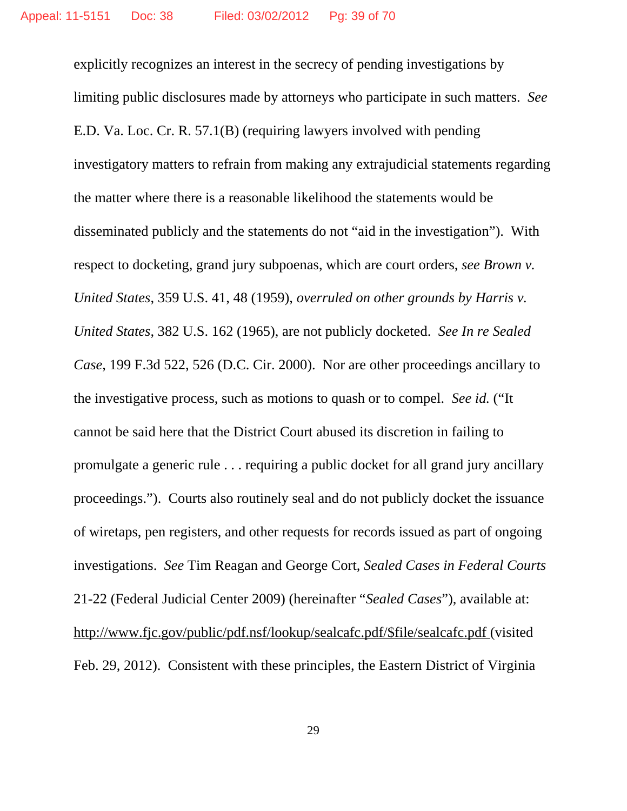explicitly recognizes an interest in the secrecy of pending investigations by limiting public disclosures made by attorneys who participate in such matters. *See* E.D. Va. Loc. Cr. R. 57.1(B) (requiring lawyers involved with pending investigatory matters to refrain from making any extrajudicial statements regarding the matter where there is a reasonable likelihood the statements would be disseminated publicly and the statements do not "aid in the investigation"). With respect to docketing, grand jury subpoenas, which are court orders, *see Brown v. United States*, 359 U.S. 41, 48 (1959), *overruled on other grounds by Harris v. United States*, 382 U.S. 162 (1965), are not publicly docketed. *See In re Sealed Case*, 199 F.3d 522, 526 (D.C. Cir. 2000). Nor are other proceedings ancillary to the investigative process, such as motions to quash or to compel. *See id.* ("It cannot be said here that the District Court abused its discretion in failing to promulgate a generic rule . . . requiring a public docket for all grand jury ancillary proceedings."). Courts also routinely seal and do not publicly docket the issuance of wiretaps, pen registers, and other requests for records issued as part of ongoing investigations. *See* Tim Reagan and George Cort, *Sealed Cases in Federal Courts* 21-22 (Federal Judicial Center 2009) (hereinafter "*Sealed Cases*"), available at: http://www.fjc.gov/public/pdf.nsf/lookup/sealcafc.pdf/\$file/sealcafc.pdf (visited Feb. 29, 2012). Consistent with these principles, the Eastern District of Virginia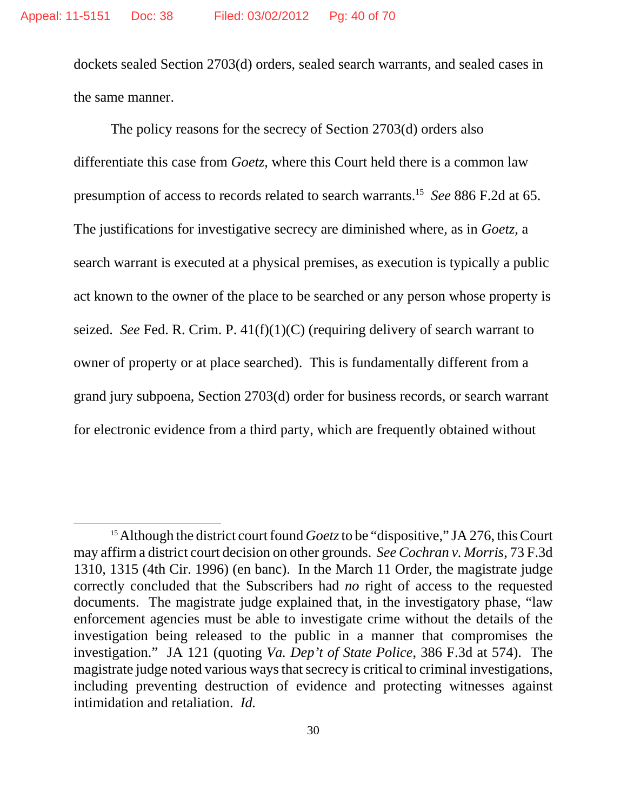dockets sealed Section 2703(d) orders, sealed search warrants, and sealed cases in the same manner.

The policy reasons for the secrecy of Section 2703(d) orders also differentiate this case from *Goetz*, where this Court held there is a common law presumption of access to records related to search warrants.15 *See* 886 F.2d at 65. The justifications for investigative secrecy are diminished where, as in *Goetz*, a search warrant is executed at a physical premises, as execution is typically a public act known to the owner of the place to be searched or any person whose property is seized. *See* Fed. R. Crim. P. 41(f)(1)(C) (requiring delivery of search warrant to owner of property or at place searched). This is fundamentally different from a grand jury subpoena, Section 2703(d) order for business records, or search warrant for electronic evidence from a third party, which are frequently obtained without

<sup>&</sup>lt;sup>15</sup> Although the district court found *Goetz* to be "dispositive," JA 276, this Court may affirm a district court decision on other grounds. *See Cochran v. Morris*, 73 F.3d 1310, 1315 (4th Cir. 1996) (en banc). In the March 11 Order, the magistrate judge correctly concluded that the Subscribers had *no* right of access to the requested documents. The magistrate judge explained that, in the investigatory phase, "law enforcement agencies must be able to investigate crime without the details of the investigation being released to the public in a manner that compromises the investigation." JA 121 (quoting *Va. Dep't of State Police*, 386 F.3d at 574). The magistrate judge noted various ways that secrecy is critical to criminal investigations, including preventing destruction of evidence and protecting witnesses against intimidation and retaliation. *Id.*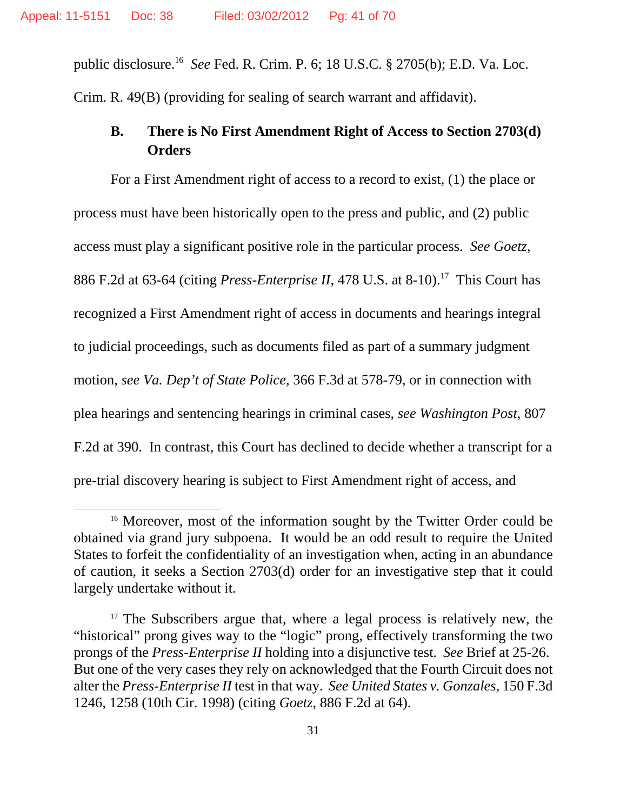public disclosure.16 *See* Fed. R. Crim. P. 6; 18 U.S.C. § 2705(b); E.D. Va. Loc. Crim. R. 49(B) (providing for sealing of search warrant and affidavit).

## **B. There is No First Amendment Right of Access to Section 2703(d) Orders**

For a First Amendment right of access to a record to exist, (1) the place or process must have been historically open to the press and public, and (2) public access must play a significant positive role in the particular process. *See Goetz*, 886 F.2d at 63-64 (citing *Press-Enterprise II*, 478 U.S. at 8-10).<sup>17</sup> This Court has recognized a First Amendment right of access in documents and hearings integral to judicial proceedings, such as documents filed as part of a summary judgment motion, *see Va. Dep't of State Police*, 366 F.3d at 578-79, or in connection with plea hearings and sentencing hearings in criminal cases, *see Washington Post*, 807 F.2d at 390. In contrast, this Court has declined to decide whether a transcript for a pre-trial discovery hearing is subject to First Amendment right of access, and

<sup>&</sup>lt;sup>16</sup> Moreover, most of the information sought by the Twitter Order could be obtained via grand jury subpoena. It would be an odd result to require the United States to forfeit the confidentiality of an investigation when, acting in an abundance of caution, it seeks a Section 2703(d) order for an investigative step that it could largely undertake without it.

<sup>&</sup>lt;sup>17</sup> The Subscribers argue that, where a legal process is relatively new, the "historical" prong gives way to the "logic" prong, effectively transforming the two prongs of the *Press-Enterprise II* holding into a disjunctive test. *See* Brief at 25-26. But one of the very cases they rely on acknowledged that the Fourth Circuit does not alter the *Press-Enterprise II* test in that way. *See United States v. Gonzales*, 150 F.3d 1246, 1258 (10th Cir. 1998) (citing *Goetz*, 886 F.2d at 64).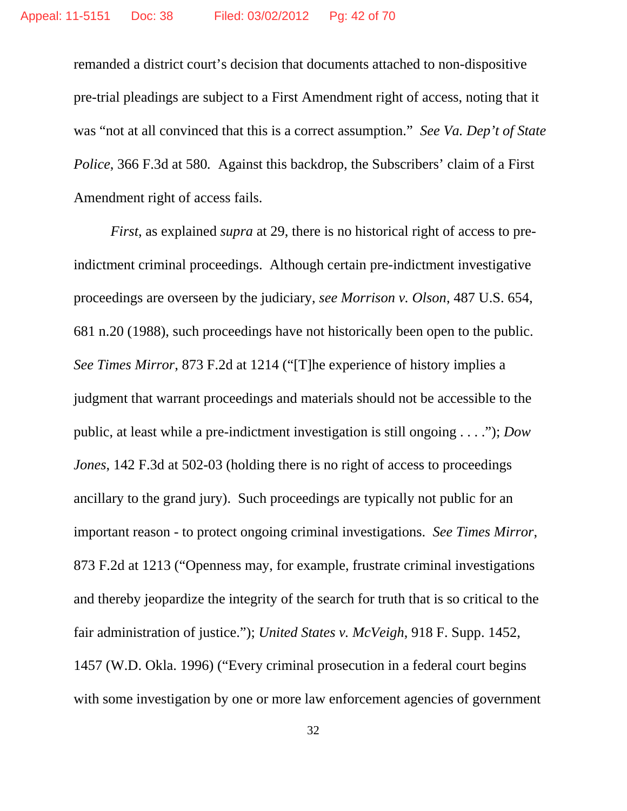remanded a district court's decision that documents attached to non-dispositive pre-trial pleadings are subject to a First Amendment right of access, noting that it was "not at all convinced that this is a correct assumption." *See Va. Dep't of State Police*, 366 F.3d at 580*.* Against this backdrop, the Subscribers' claim of a First Amendment right of access fails.

*First*, as explained *supra* at 29, there is no historical right of access to preindictment criminal proceedings. Although certain pre-indictment investigative proceedings are overseen by the judiciary, *see Morrison v. Olson*, 487 U.S. 654, 681 n.20 (1988), such proceedings have not historically been open to the public. *See Times Mirror*, 873 F.2d at 1214 ("[T]he experience of history implies a judgment that warrant proceedings and materials should not be accessible to the public, at least while a pre-indictment investigation is still ongoing . . . ."); *Dow Jones*, 142 F.3d at 502-03 (holding there is no right of access to proceedings ancillary to the grand jury). Such proceedings are typically not public for an important reason - to protect ongoing criminal investigations. *See Times Mirror*, 873 F.2d at 1213 ("Openness may, for example, frustrate criminal investigations and thereby jeopardize the integrity of the search for truth that is so critical to the fair administration of justice."); *United States v. McVeigh*, 918 F. Supp. 1452, 1457 (W.D. Okla. 1996) ("Every criminal prosecution in a federal court begins with some investigation by one or more law enforcement agencies of government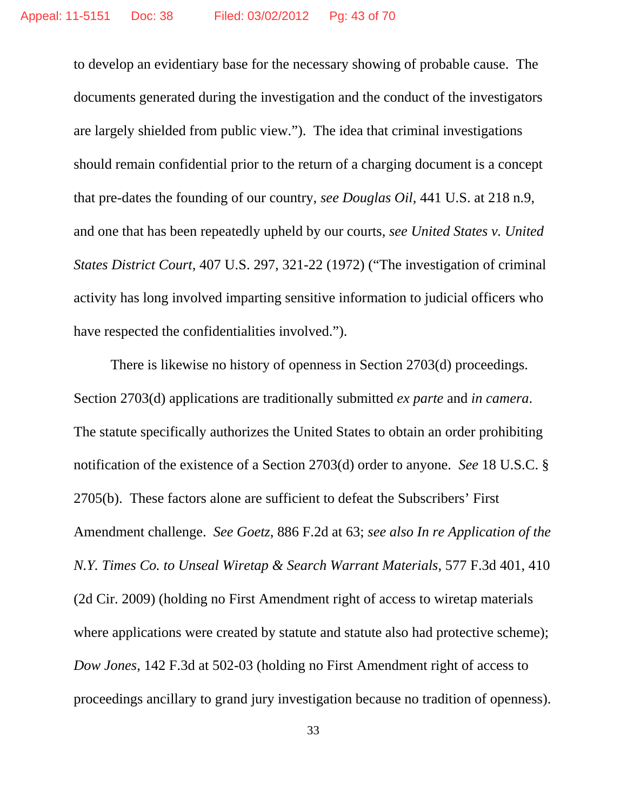to develop an evidentiary base for the necessary showing of probable cause. The documents generated during the investigation and the conduct of the investigators are largely shielded from public view."). The idea that criminal investigations should remain confidential prior to the return of a charging document is a concept that pre-dates the founding of our country, *see Douglas Oil*, 441 U.S. at 218 n.9, and one that has been repeatedly upheld by our courts, *see United States v. United States District Court*, 407 U.S. 297, 321-22 (1972) ("The investigation of criminal activity has long involved imparting sensitive information to judicial officers who have respected the confidentialities involved.").

There is likewise no history of openness in Section 2703(d) proceedings. Section 2703(d) applications are traditionally submitted *ex parte* and *in camera*. The statute specifically authorizes the United States to obtain an order prohibiting notification of the existence of a Section 2703(d) order to anyone. *See* 18 U.S.C. § 2705(b). These factors alone are sufficient to defeat the Subscribers' First Amendment challenge. *See Goetz*, 886 F.2d at 63; *see also In re Application of the N.Y. Times Co. to Unseal Wiretap & Search Warrant Materials*, 577 F.3d 401, 410 (2d Cir. 2009) (holding no First Amendment right of access to wiretap materials where applications were created by statute and statute also had protective scheme); *Dow Jones*, 142 F.3d at 502-03 (holding no First Amendment right of access to proceedings ancillary to grand jury investigation because no tradition of openness).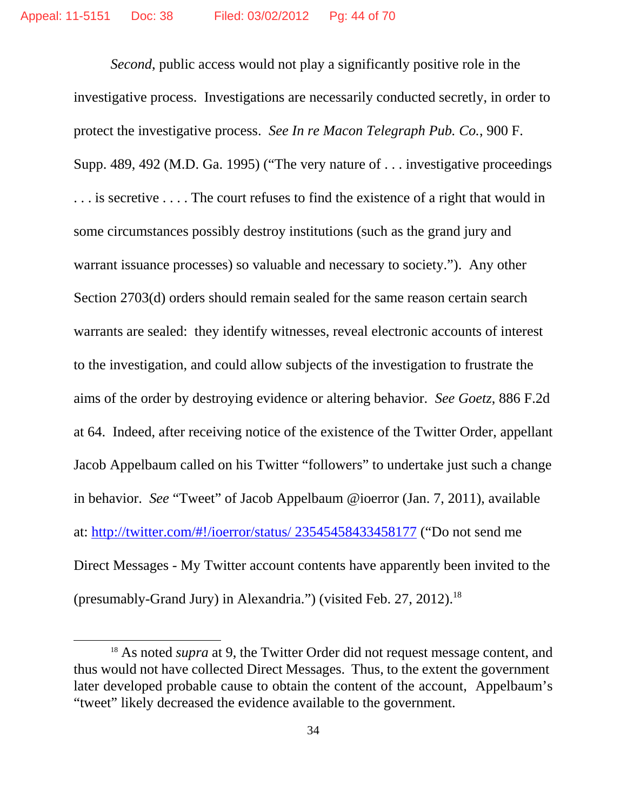*Second*, public access would not play a significantly positive role in the investigative process. Investigations are necessarily conducted secretly, in order to protect the investigative process. *See In re Macon Telegraph Pub. Co.*, 900 F. Supp. 489, 492 (M.D. Ga. 1995) ("The very nature of . . . investigative proceedings . . . is secretive . . . . The court refuses to find the existence of a right that would in some circumstances possibly destroy institutions (such as the grand jury and warrant issuance processes) so valuable and necessary to society."). Any other Section 2703(d) orders should remain sealed for the same reason certain search warrants are sealed: they identify witnesses, reveal electronic accounts of interest to the investigation, and could allow subjects of the investigation to frustrate the aims of the order by destroying evidence or altering behavior. *See Goetz*, 886 F.2d at 64. Indeed, after receiving notice of the existence of the Twitter Order, appellant Jacob Appelbaum called on his Twitter "followers" to undertake just such a change in behavior. *See* "Tweet" of Jacob Appelbaum @ioerror (Jan. 7, 2011), available at: http://twitter.com/#!/ioerror/status/ 23545458433458177 ("Do not send me Direct Messages - My Twitter account contents have apparently been invited to the (presumably-Grand Jury) in Alexandria.") (visited Feb. 27, 2012).<sup>18</sup>

<sup>&</sup>lt;sup>18</sup> As noted *supra* at 9, the Twitter Order did not request message content, and thus would not have collected Direct Messages. Thus, to the extent the government later developed probable cause to obtain the content of the account, Appelbaum's "tweet" likely decreased the evidence available to the government.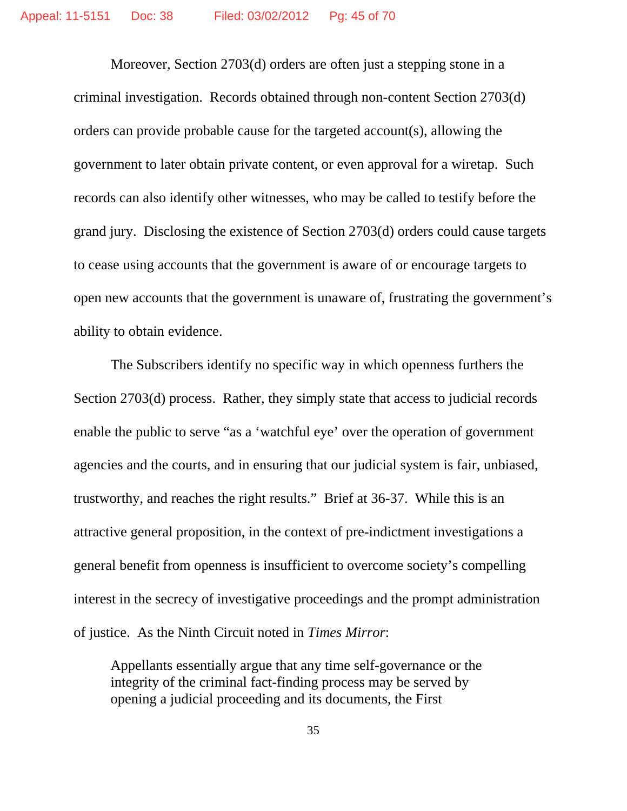Moreover, Section 2703(d) orders are often just a stepping stone in a criminal investigation. Records obtained through non-content Section 2703(d) orders can provide probable cause for the targeted account(s), allowing the government to later obtain private content, or even approval for a wiretap. Such records can also identify other witnesses, who may be called to testify before the grand jury. Disclosing the existence of Section 2703(d) orders could cause targets to cease using accounts that the government is aware of or encourage targets to open new accounts that the government is unaware of, frustrating the government's ability to obtain evidence.

The Subscribers identify no specific way in which openness furthers the Section 2703(d) process. Rather, they simply state that access to judicial records enable the public to serve "as a 'watchful eye' over the operation of government agencies and the courts, and in ensuring that our judicial system is fair, unbiased, trustworthy, and reaches the right results." Brief at 36-37. While this is an attractive general proposition, in the context of pre-indictment investigations a general benefit from openness is insufficient to overcome society's compelling interest in the secrecy of investigative proceedings and the prompt administration of justice. As the Ninth Circuit noted in *Times Mirror*:

Appellants essentially argue that any time self-governance or the integrity of the criminal fact-finding process may be served by opening a judicial proceeding and its documents, the First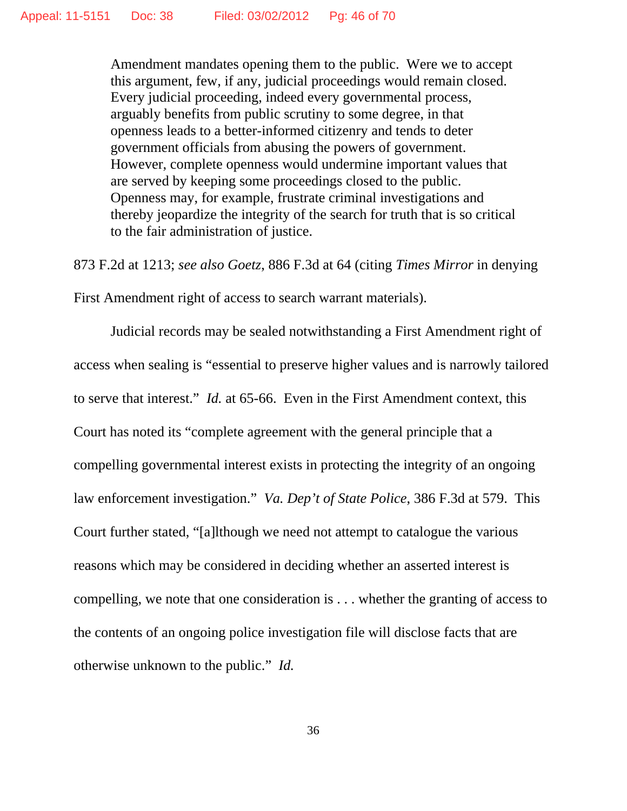Amendment mandates opening them to the public. Were we to accept this argument, few, if any, judicial proceedings would remain closed. Every judicial proceeding, indeed every governmental process, arguably benefits from public scrutiny to some degree, in that openness leads to a better-informed citizenry and tends to deter government officials from abusing the powers of government. However, complete openness would undermine important values that are served by keeping some proceedings closed to the public. Openness may, for example, frustrate criminal investigations and thereby jeopardize the integrity of the search for truth that is so critical to the fair administration of justice.

873 F.2d at 1213; *see also Goetz*, 886 F.3d at 64 (citing *Times Mirror* in denying First Amendment right of access to search warrant materials).

Judicial records may be sealed notwithstanding a First Amendment right of access when sealing is "essential to preserve higher values and is narrowly tailored to serve that interest." *Id.* at 65-66. Even in the First Amendment context, this Court has noted its "complete agreement with the general principle that a compelling governmental interest exists in protecting the integrity of an ongoing law enforcement investigation." *Va. Dep't of State Police*, 386 F.3d at 579. This Court further stated, "[a]lthough we need not attempt to catalogue the various reasons which may be considered in deciding whether an asserted interest is compelling, we note that one consideration is . . . whether the granting of access to the contents of an ongoing police investigation file will disclose facts that are otherwise unknown to the public." *Id.*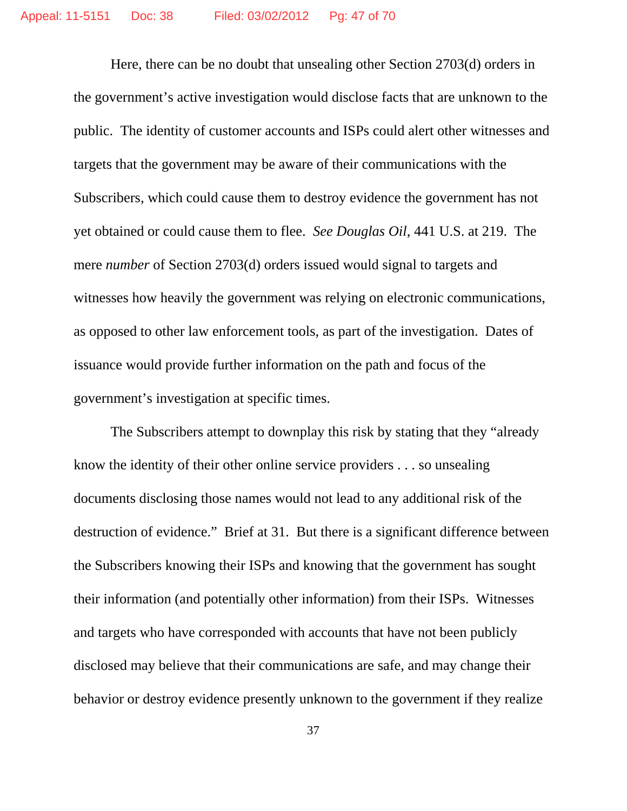Here, there can be no doubt that unsealing other Section 2703(d) orders in the government's active investigation would disclose facts that are unknown to the public. The identity of customer accounts and ISPs could alert other witnesses and targets that the government may be aware of their communications with the Subscribers, which could cause them to destroy evidence the government has not yet obtained or could cause them to flee. *See Douglas Oil*, 441 U.S. at 219. The mere *number* of Section 2703(d) orders issued would signal to targets and witnesses how heavily the government was relying on electronic communications, as opposed to other law enforcement tools, as part of the investigation. Dates of issuance would provide further information on the path and focus of the government's investigation at specific times.

The Subscribers attempt to downplay this risk by stating that they "already know the identity of their other online service providers . . . so unsealing documents disclosing those names would not lead to any additional risk of the destruction of evidence." Brief at 31. But there is a significant difference between the Subscribers knowing their ISPs and knowing that the government has sought their information (and potentially other information) from their ISPs. Witnesses and targets who have corresponded with accounts that have not been publicly disclosed may believe that their communications are safe, and may change their behavior or destroy evidence presently unknown to the government if they realize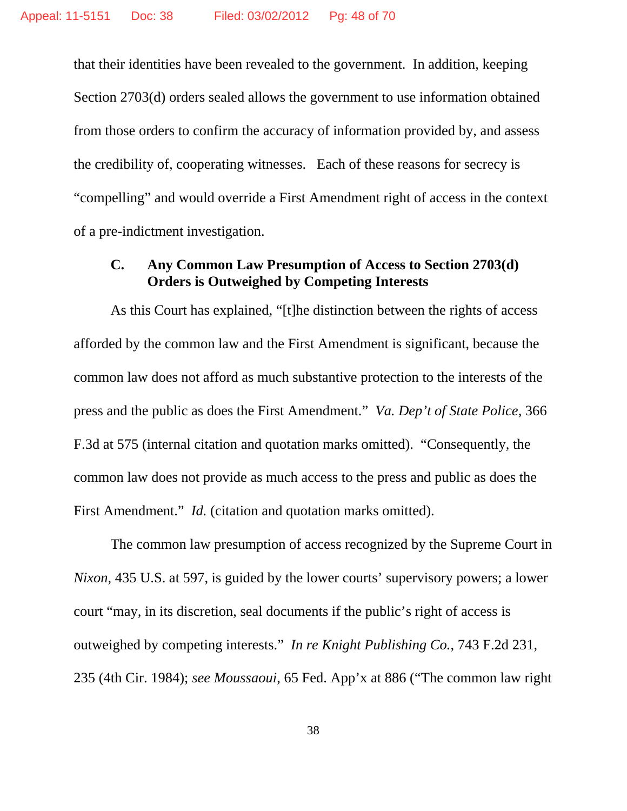that their identities have been revealed to the government. In addition, keeping Section 2703(d) orders sealed allows the government to use information obtained from those orders to confirm the accuracy of information provided by, and assess the credibility of, cooperating witnesses. Each of these reasons for secrecy is "compelling" and would override a First Amendment right of access in the context of a pre-indictment investigation.

## **C. Any Common Law Presumption of Access to Section 2703(d) Orders is Outweighed by Competing Interests**

As this Court has explained, "[t]he distinction between the rights of access afforded by the common law and the First Amendment is significant, because the common law does not afford as much substantive protection to the interests of the press and the public as does the First Amendment." *Va. Dep't of State Police*, 366 F.3d at 575 (internal citation and quotation marks omitted). "Consequently, the common law does not provide as much access to the press and public as does the First Amendment." *Id.* (citation and quotation marks omitted).

The common law presumption of access recognized by the Supreme Court in *Nixon*, 435 U.S. at 597, is guided by the lower courts' supervisory powers; a lower court "may, in its discretion, seal documents if the public's right of access is outweighed by competing interests." *In re Knight Publishing Co.*, 743 F.2d 231, 235 (4th Cir. 1984); *see Moussaoui*, 65 Fed. App'x at 886 ("The common law right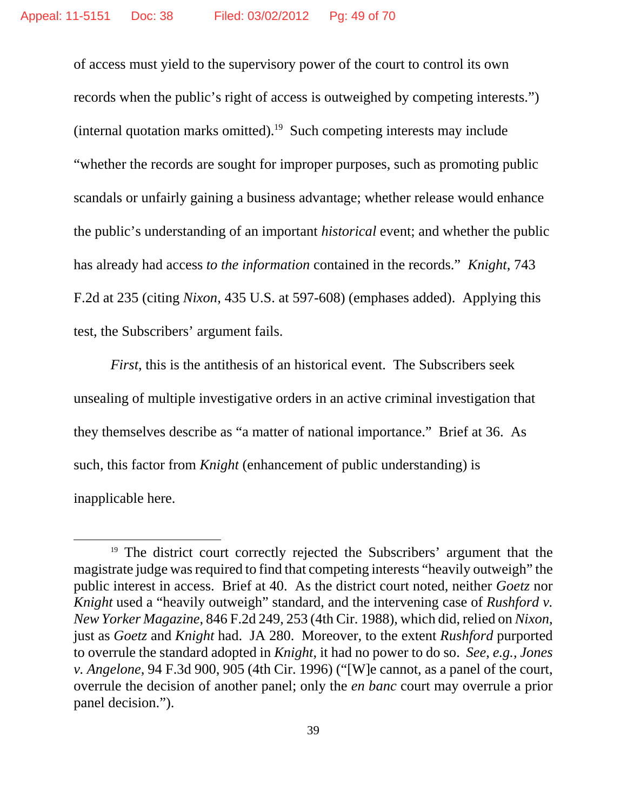of access must yield to the supervisory power of the court to control its own records when the public's right of access is outweighed by competing interests.") (internal quotation marks omitted).<sup>19</sup> Such competing interests may include "whether the records are sought for improper purposes, such as promoting public scandals or unfairly gaining a business advantage; whether release would enhance the public's understanding of an important *historical* event; and whether the public has already had access *to the information* contained in the records." *Knight*, 743 F.2d at 235 (citing *Nixon*, 435 U.S. at 597-608) (emphases added). Applying this test, the Subscribers' argument fails.

*First*, this is the antithesis of an historical event. The Subscribers seek unsealing of multiple investigative orders in an active criminal investigation that they themselves describe as "a matter of national importance." Brief at 36. As such, this factor from *Knight* (enhancement of public understanding) is inapplicable here.

<sup>&</sup>lt;sup>19</sup> The district court correctly rejected the Subscribers' argument that the magistrate judge was required to find that competing interests "heavily outweigh" the public interest in access. Brief at 40. As the district court noted, neither *Goetz* nor *Knight* used a "heavily outweigh" standard, and the intervening case of *Rushford v. New Yorker Magazine*, 846 F.2d 249, 253 (4th Cir. 1988), which did, relied on *Nixon*, just as *Goetz* and *Knight* had. JA 280. Moreover, to the extent *Rushford* purported to overrule the standard adopted in *Knight*, it had no power to do so. *See*, *e.g.*, *Jones v. Angelone*, 94 F.3d 900, 905 (4th Cir. 1996) ("[W]e cannot, as a panel of the court, overrule the decision of another panel; only the *en banc* court may overrule a prior panel decision.").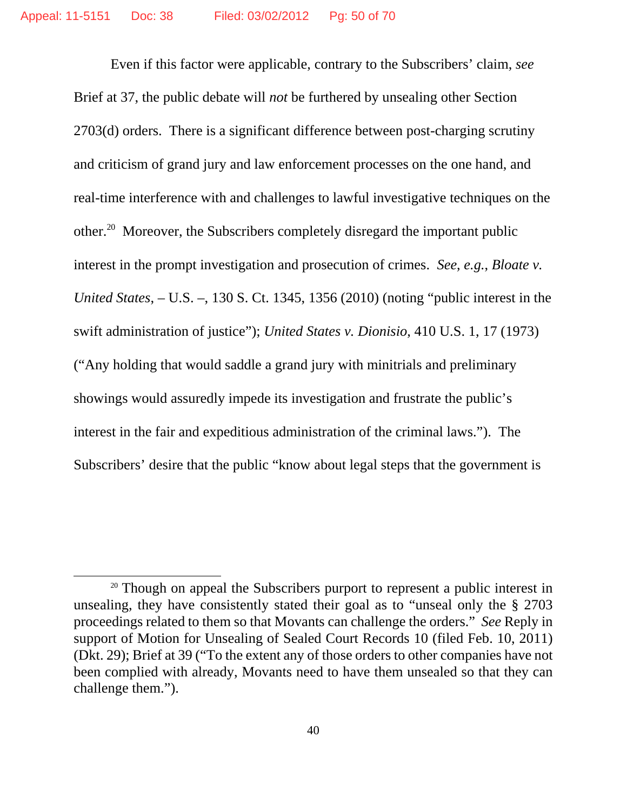Even if this factor were applicable, contrary to the Subscribers' claim, *see* Brief at 37, the public debate will *not* be furthered by unsealing other Section 2703(d) orders. There is a significant difference between post-charging scrutiny and criticism of grand jury and law enforcement processes on the one hand, and real-time interference with and challenges to lawful investigative techniques on the other.20 Moreover, the Subscribers completely disregard the important public interest in the prompt investigation and prosecution of crimes. *See*, *e.g.*, *Bloate v. United States*, – U.S. –, 130 S. Ct. 1345, 1356 (2010) (noting "public interest in the swift administration of justice"); *United States v. Dionisio*, 410 U.S. 1, 17 (1973) ("Any holding that would saddle a grand jury with minitrials and preliminary showings would assuredly impede its investigation and frustrate the public's interest in the fair and expeditious administration of the criminal laws."). The Subscribers' desire that the public "know about legal steps that the government is

<sup>&</sup>lt;sup>20</sup> Though on appeal the Subscribers purport to represent a public interest in unsealing, they have consistently stated their goal as to "unseal only the § 2703 proceedings related to them so that Movants can challenge the orders." *See* Reply in support of Motion for Unsealing of Sealed Court Records 10 (filed Feb. 10, 2011) (Dkt. 29); Brief at 39 ("To the extent any of those orders to other companies have not been complied with already, Movants need to have them unsealed so that they can challenge them.").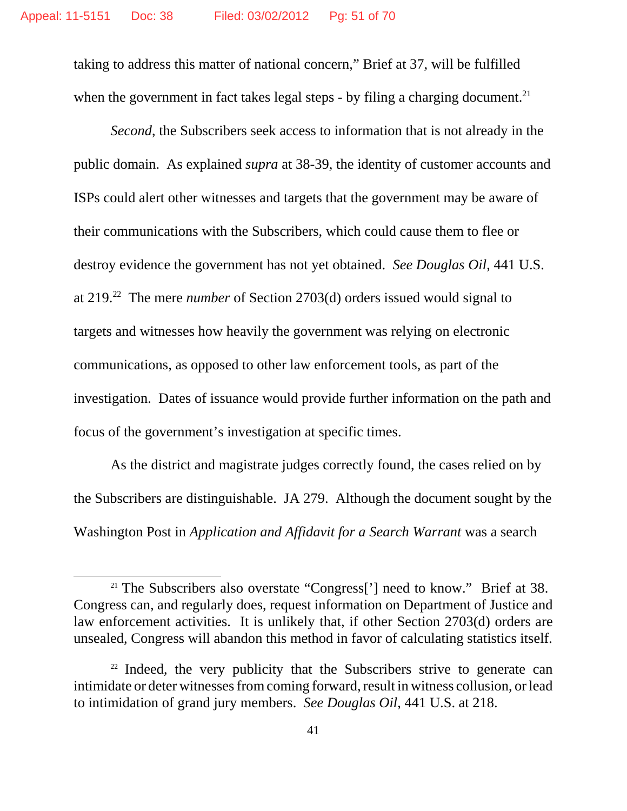taking to address this matter of national concern," Brief at 37, will be fulfilled when the government in fact takes legal steps - by filing a charging document.<sup>21</sup>

*Second*, the Subscribers seek access to information that is not already in the public domain. As explained *supra* at 38-39, the identity of customer accounts and ISPs could alert other witnesses and targets that the government may be aware of their communications with the Subscribers, which could cause them to flee or destroy evidence the government has not yet obtained. *See Douglas Oil*, 441 U.S. at 219.22 The mere *number* of Section 2703(d) orders issued would signal to targets and witnesses how heavily the government was relying on electronic communications, as opposed to other law enforcement tools, as part of the investigation. Dates of issuance would provide further information on the path and focus of the government's investigation at specific times.

As the district and magistrate judges correctly found, the cases relied on by the Subscribers are distinguishable. JA 279. Although the document sought by the Washington Post in *Application and Affidavit for a Search Warrant* was a search

<sup>&</sup>lt;sup>21</sup> The Subscribers also overstate "Congress['] need to know." Brief at 38. Congress can, and regularly does, request information on Department of Justice and law enforcement activities. It is unlikely that, if other Section 2703(d) orders are unsealed, Congress will abandon this method in favor of calculating statistics itself.

<sup>&</sup>lt;sup>22</sup> Indeed, the very publicity that the Subscribers strive to generate can intimidate or deter witnesses from coming forward, result in witness collusion, or lead to intimidation of grand jury members. *See Douglas Oil*, 441 U.S. at 218.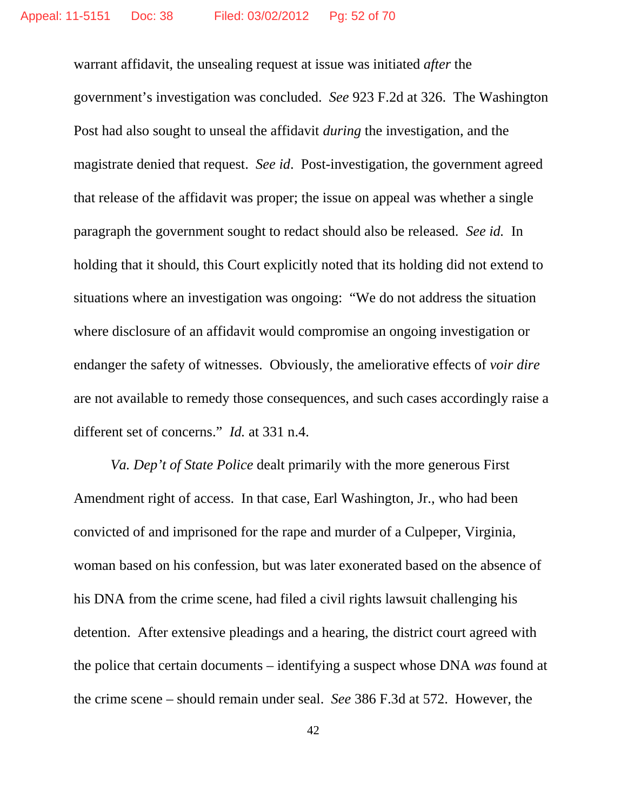warrant affidavit, the unsealing request at issue was initiated *after* the government's investigation was concluded. *See* 923 F.2d at 326. The Washington Post had also sought to unseal the affidavit *during* the investigation, and the magistrate denied that request. *See id*. Post-investigation, the government agreed that release of the affidavit was proper; the issue on appeal was whether a single paragraph the government sought to redact should also be released. *See id.* In holding that it should, this Court explicitly noted that its holding did not extend to situations where an investigation was ongoing: "We do not address the situation where disclosure of an affidavit would compromise an ongoing investigation or endanger the safety of witnesses. Obviously, the ameliorative effects of *voir dire* are not available to remedy those consequences, and such cases accordingly raise a different set of concerns." *Id.* at 331 n.4.

*Va. Dep't of State Police* dealt primarily with the more generous First Amendment right of access. In that case, Earl Washington, Jr., who had been convicted of and imprisoned for the rape and murder of a Culpeper, Virginia, woman based on his confession, but was later exonerated based on the absence of his DNA from the crime scene, had filed a civil rights lawsuit challenging his detention. After extensive pleadings and a hearing, the district court agreed with the police that certain documents – identifying a suspect whose DNA *was* found at the crime scene – should remain under seal. *See* 386 F.3d at 572. However, the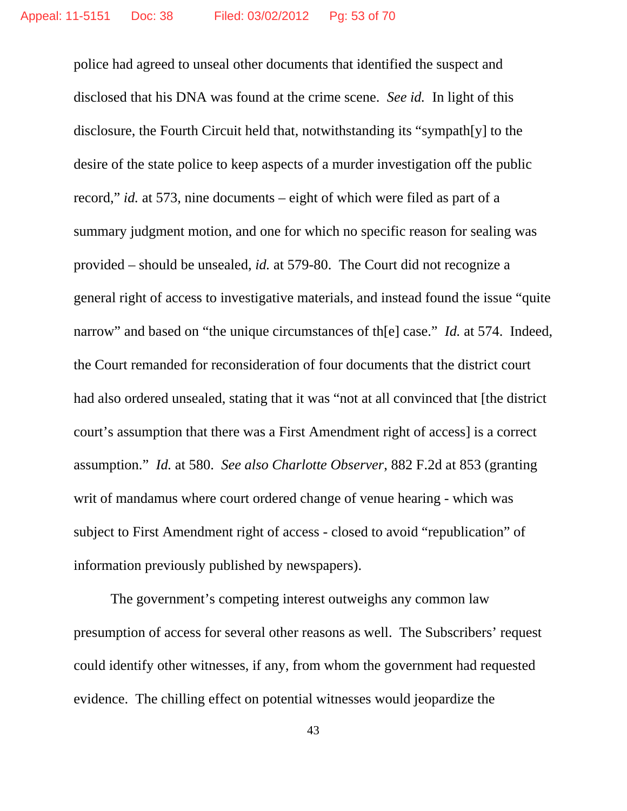police had agreed to unseal other documents that identified the suspect and disclosed that his DNA was found at the crime scene. *See id.* In light of this disclosure, the Fourth Circuit held that, notwithstanding its "sympath[y] to the desire of the state police to keep aspects of a murder investigation off the public record," *id.* at 573, nine documents – eight of which were filed as part of a summary judgment motion, and one for which no specific reason for sealing was provided – should be unsealed, *id.* at 579-80. The Court did not recognize a general right of access to investigative materials, and instead found the issue "quite narrow" and based on "the unique circumstances of th[e] case." *Id.* at 574. Indeed, the Court remanded for reconsideration of four documents that the district court had also ordered unsealed, stating that it was "not at all convinced that [the district court's assumption that there was a First Amendment right of access] is a correct assumption." *Id.* at 580. *See also Charlotte Observer*, 882 F.2d at 853 (granting writ of mandamus where court ordered change of venue hearing - which was subject to First Amendment right of access - closed to avoid "republication" of information previously published by newspapers).

The government's competing interest outweighs any common law presumption of access for several other reasons as well. The Subscribers' request could identify other witnesses, if any, from whom the government had requested evidence. The chilling effect on potential witnesses would jeopardize the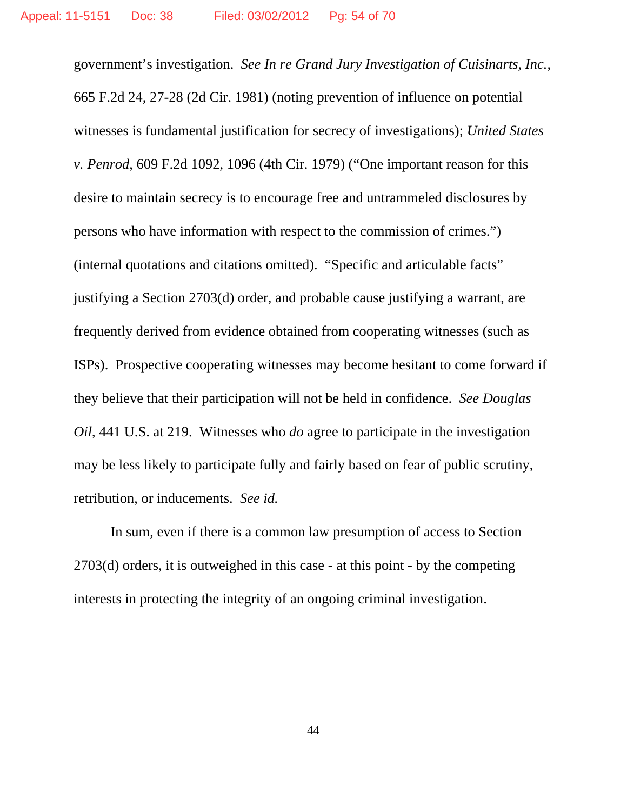government's investigation. *See In re Grand Jury Investigation of Cuisinarts, Inc.*, 665 F.2d 24, 27-28 (2d Cir. 1981) (noting prevention of influence on potential witnesses is fundamental justification for secrecy of investigations); *United States v. Penrod*, 609 F.2d 1092, 1096 (4th Cir. 1979) ("One important reason for this desire to maintain secrecy is to encourage free and untrammeled disclosures by persons who have information with respect to the commission of crimes.") (internal quotations and citations omitted). "Specific and articulable facts" justifying a Section 2703(d) order, and probable cause justifying a warrant, are frequently derived from evidence obtained from cooperating witnesses (such as ISPs). Prospective cooperating witnesses may become hesitant to come forward if they believe that their participation will not be held in confidence. *See Douglas Oil*, 441 U.S. at 219. Witnesses who *do* agree to participate in the investigation may be less likely to participate fully and fairly based on fear of public scrutiny, retribution, or inducements. *See id.*

In sum, even if there is a common law presumption of access to Section 2703(d) orders, it is outweighed in this case - at this point - by the competing interests in protecting the integrity of an ongoing criminal investigation.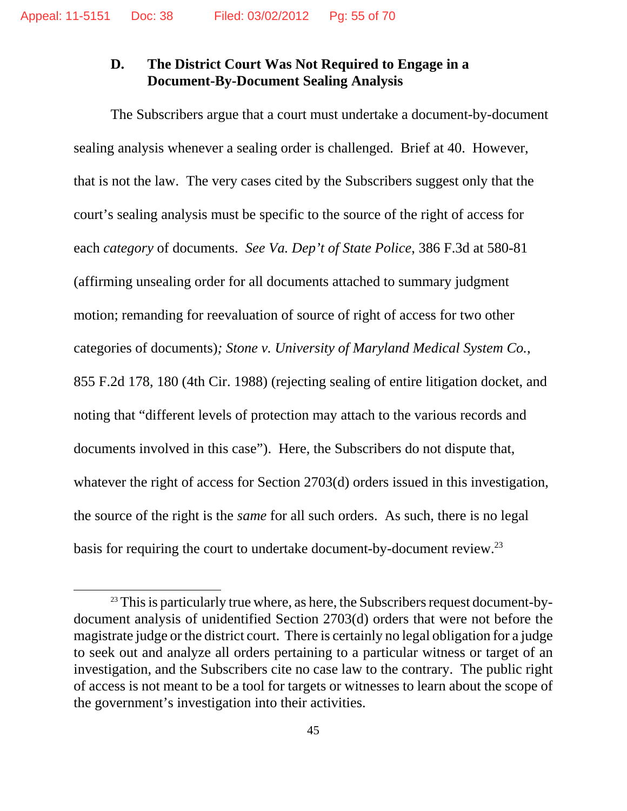## **D. The District Court Was Not Required to Engage in a Document-By-Document Sealing Analysis**

The Subscribers argue that a court must undertake a document-by-document sealing analysis whenever a sealing order is challenged. Brief at 40. However, that is not the law. The very cases cited by the Subscribers suggest only that the court's sealing analysis must be specific to the source of the right of access for each *category* of documents. *See Va. Dep't of State Police*, 386 F.3d at 580-81 (affirming unsealing order for all documents attached to summary judgment motion; remanding for reevaluation of source of right of access for two other categories of documents)*; Stone v. University of Maryland Medical System Co.*, 855 F.2d 178, 180 (4th Cir. 1988) (rejecting sealing of entire litigation docket, and noting that "different levels of protection may attach to the various records and documents involved in this case"). Here, the Subscribers do not dispute that, whatever the right of access for Section 2703(d) orders issued in this investigation, the source of the right is the *same* for all such orders. As such, there is no legal basis for requiring the court to undertake document-by-document review.23

 $23$  This is particularly true where, as here, the Subscribers request document-bydocument analysis of unidentified Section 2703(d) orders that were not before the magistrate judge or the district court. There is certainly no legal obligation for a judge to seek out and analyze all orders pertaining to a particular witness or target of an investigation, and the Subscribers cite no case law to the contrary. The public right of access is not meant to be a tool for targets or witnesses to learn about the scope of the government's investigation into their activities.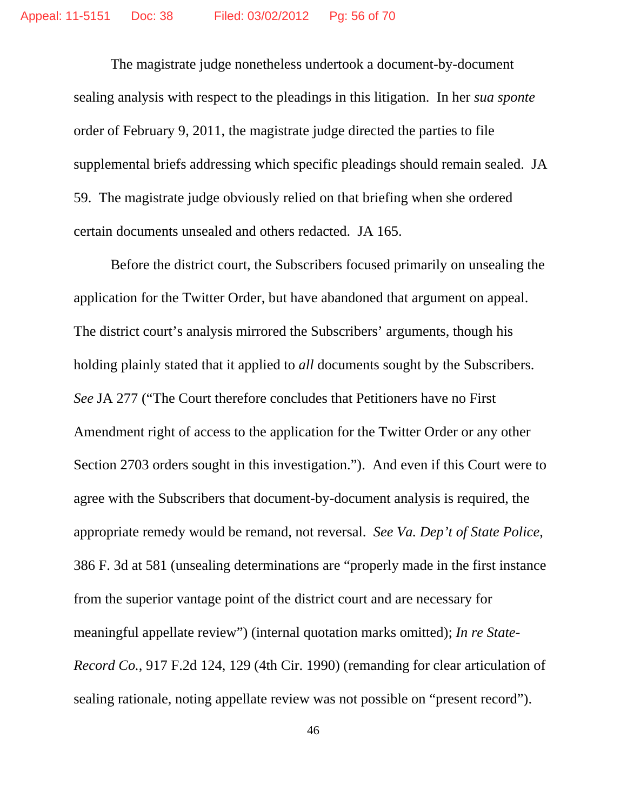The magistrate judge nonetheless undertook a document-by-document sealing analysis with respect to the pleadings in this litigation. In her *sua sponte* order of February 9, 2011, the magistrate judge directed the parties to file supplemental briefs addressing which specific pleadings should remain sealed. JA 59. The magistrate judge obviously relied on that briefing when she ordered certain documents unsealed and others redacted. JA 165.

Before the district court, the Subscribers focused primarily on unsealing the application for the Twitter Order, but have abandoned that argument on appeal. The district court's analysis mirrored the Subscribers' arguments, though his holding plainly stated that it applied to *all* documents sought by the Subscribers. *See* JA 277 ("The Court therefore concludes that Petitioners have no First Amendment right of access to the application for the Twitter Order or any other Section 2703 orders sought in this investigation."). And even if this Court were to agree with the Subscribers that document-by-document analysis is required, the appropriate remedy would be remand, not reversal. *See Va. Dep't of State Police*, 386 F. 3d at 581 (unsealing determinations are "properly made in the first instance from the superior vantage point of the district court and are necessary for meaningful appellate review") (internal quotation marks omitted); *In re State-Record Co.*, 917 F.2d 124, 129 (4th Cir. 1990) (remanding for clear articulation of sealing rationale, noting appellate review was not possible on "present record").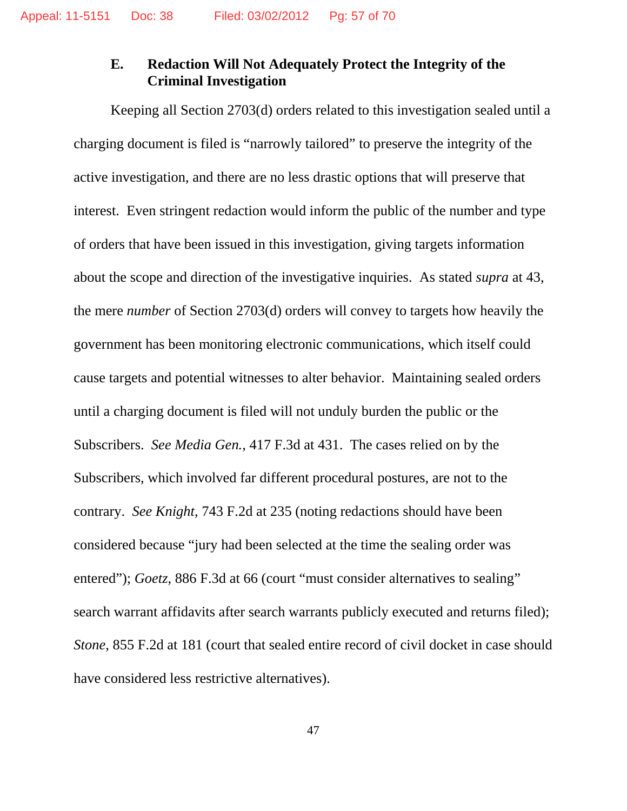## **E. Redaction Will Not Adequately Protect the Integrity of the Criminal Investigation**

Keeping all Section 2703(d) orders related to this investigation sealed until a charging document is filed is "narrowly tailored" to preserve the integrity of the active investigation, and there are no less drastic options that will preserve that interest. Even stringent redaction would inform the public of the number and type of orders that have been issued in this investigation, giving targets information about the scope and direction of the investigative inquiries. As stated *supra* at 43, the mere *number* of Section 2703(d) orders will convey to targets how heavily the government has been monitoring electronic communications, which itself could cause targets and potential witnesses to alter behavior. Maintaining sealed orders until a charging document is filed will not unduly burden the public or the Subscribers. *See Media Gen.*, 417 F.3d at 431. The cases relied on by the Subscribers, which involved far different procedural postures, are not to the contrary. *See Knight*, 743 F.2d at 235 (noting redactions should have been considered because "jury had been selected at the time the sealing order was entered"); *Goetz*, 886 F.3d at 66 (court "must consider alternatives to sealing" search warrant affidavits after search warrants publicly executed and returns filed); *Stone*, 855 F.2d at 181 (court that sealed entire record of civil docket in case should have considered less restrictive alternatives).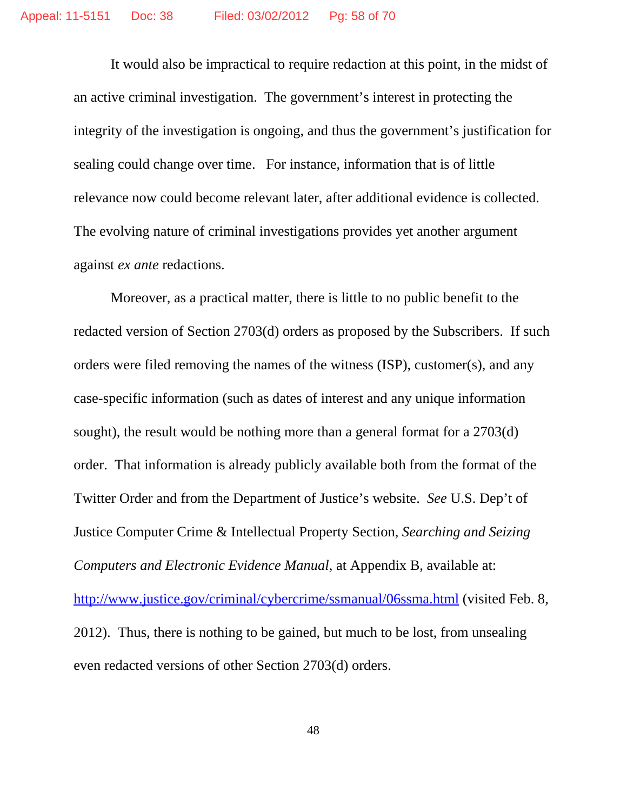It would also be impractical to require redaction at this point, in the midst of an active criminal investigation. The government's interest in protecting the integrity of the investigation is ongoing, and thus the government's justification for sealing could change over time. For instance, information that is of little relevance now could become relevant later, after additional evidence is collected. The evolving nature of criminal investigations provides yet another argument against *ex ante* redactions.

Moreover, as a practical matter, there is little to no public benefit to the redacted version of Section 2703(d) orders as proposed by the Subscribers. If such orders were filed removing the names of the witness (ISP), customer(s), and any case-specific information (such as dates of interest and any unique information sought), the result would be nothing more than a general format for a 2703(d) order. That information is already publicly available both from the format of the Twitter Order and from the Department of Justice's website. *See* U.S. Dep't of Justice Computer Crime & Intellectual Property Section, *Searching and Seizing Computers and Electronic Evidence Manual*, at Appendix B, available at: http://www.justice.gov/criminal/cybercrime/ssmanual/06ssma.html (visited Feb. 8, 2012). Thus, there is nothing to be gained, but much to be lost, from unsealing

even redacted versions of other Section 2703(d) orders.

48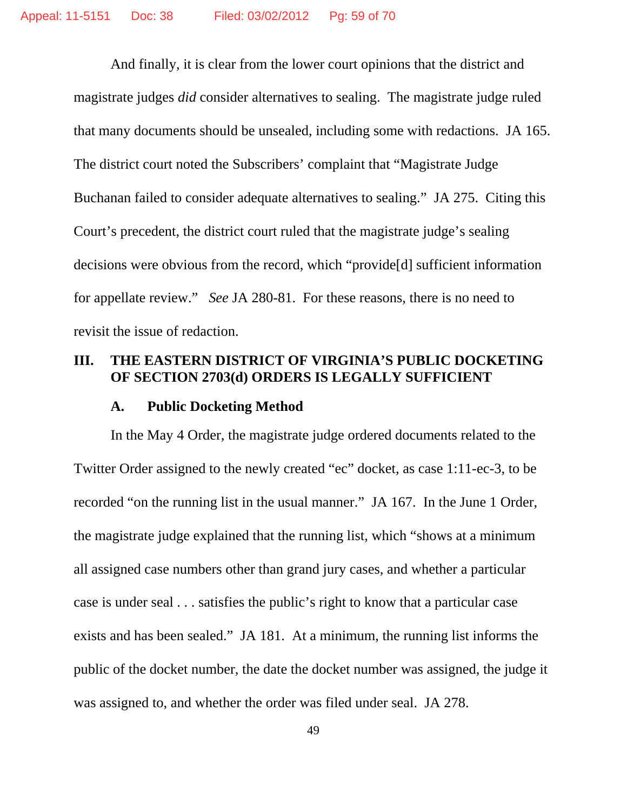And finally, it is clear from the lower court opinions that the district and magistrate judges *did* consider alternatives to sealing. The magistrate judge ruled that many documents should be unsealed, including some with redactions. JA 165. The district court noted the Subscribers' complaint that "Magistrate Judge Buchanan failed to consider adequate alternatives to sealing." JA 275. Citing this Court's precedent, the district court ruled that the magistrate judge's sealing decisions were obvious from the record, which "provide[d] sufficient information for appellate review." *See* JA 280-81. For these reasons, there is no need to revisit the issue of redaction.

### **III. THE EASTERN DISTRICT OF VIRGINIA'S PUBLIC DOCKETING OF SECTION 2703(d) ORDERS IS LEGALLY SUFFICIENT**

#### **A. Public Docketing Method**

In the May 4 Order, the magistrate judge ordered documents related to the Twitter Order assigned to the newly created "ec" docket, as case 1:11-ec-3, to be recorded "on the running list in the usual manner." JA 167. In the June 1 Order, the magistrate judge explained that the running list, which "shows at a minimum all assigned case numbers other than grand jury cases, and whether a particular case is under seal . . . satisfies the public's right to know that a particular case exists and has been sealed." JA 181. At a minimum, the running list informs the public of the docket number, the date the docket number was assigned, the judge it was assigned to, and whether the order was filed under seal. JA 278.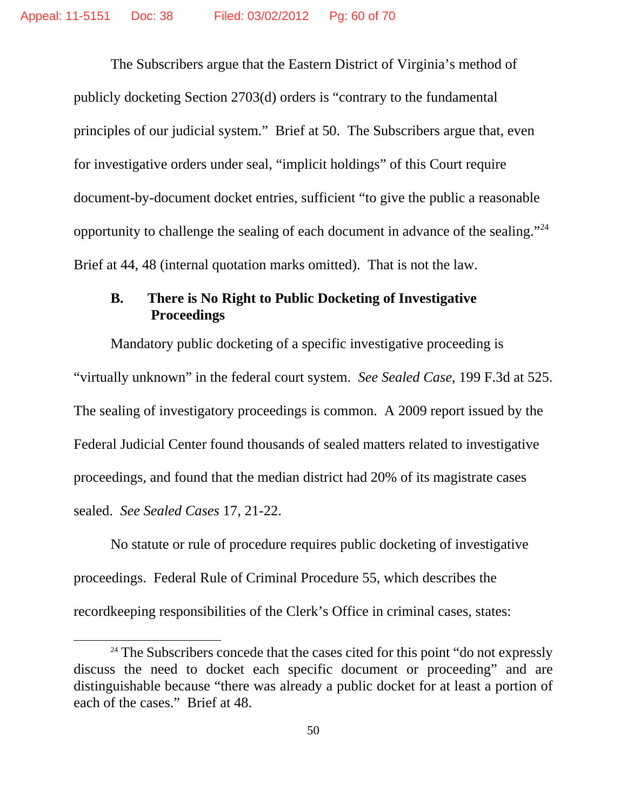The Subscribers argue that the Eastern District of Virginia's method of publicly docketing Section 2703(d) orders is "contrary to the fundamental principles of our judicial system." Brief at 50. The Subscribers argue that, even for investigative orders under seal, "implicit holdings" of this Court require document-by-document docket entries, sufficient "to give the public a reasonable opportunity to challenge the sealing of each document in advance of the sealing."24 Brief at 44, 48 (internal quotation marks omitted). That is not the law.

### **B. There is No Right to Public Docketing of Investigative Proceedings**

Mandatory public docketing of a specific investigative proceeding is "virtually unknown" in the federal court system. *See Sealed Case*, 199 F.3d at 525. The sealing of investigatory proceedings is common. A 2009 report issued by the Federal Judicial Center found thousands of sealed matters related to investigative proceedings, and found that the median district had 20% of its magistrate cases sealed. *See Sealed Cases* 17, 21-22.

No statute or rule of procedure requires public docketing of investigative proceedings. Federal Rule of Criminal Procedure 55, which describes the recordkeeping responsibilities of the Clerk's Office in criminal cases, states:

 $24$  The Subscribers concede that the cases cited for this point "do not expressly discuss the need to docket each specific document or proceeding" and are distinguishable because "there was already a public docket for at least a portion of each of the cases." Brief at 48.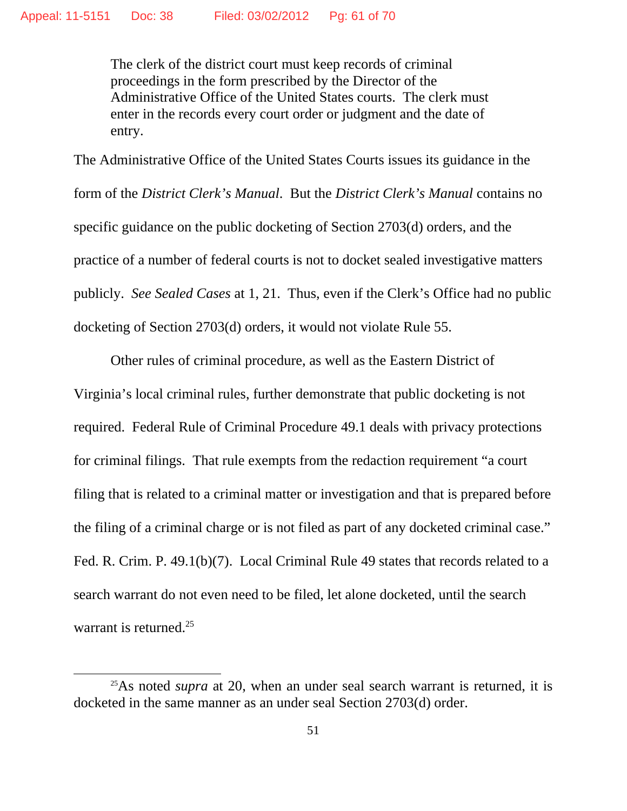The clerk of the district court must keep records of criminal proceedings in the form prescribed by the Director of the Administrative Office of the United States courts. The clerk must enter in the records every court order or judgment and the date of entry.

The Administrative Office of the United States Courts issues its guidance in the form of the *District Clerk's Manual*. But the *District Clerk's Manual* contains no specific guidance on the public docketing of Section 2703(d) orders, and the practice of a number of federal courts is not to docket sealed investigative matters publicly. *See Sealed Cases* at 1, 21. Thus, even if the Clerk's Office had no public docketing of Section 2703(d) orders, it would not violate Rule 55.

Other rules of criminal procedure, as well as the Eastern District of Virginia's local criminal rules, further demonstrate that public docketing is not required. Federal Rule of Criminal Procedure 49.1 deals with privacy protections for criminal filings. That rule exempts from the redaction requirement "a court filing that is related to a criminal matter or investigation and that is prepared before the filing of a criminal charge or is not filed as part of any docketed criminal case." Fed. R. Crim. P. 49.1(b)(7). Local Criminal Rule 49 states that records related to a search warrant do not even need to be filed, let alone docketed, until the search warrant is returned.<sup>25</sup>

<sup>&</sup>lt;sup>25</sup>As noted *supra* at 20, when an under seal search warrant is returned, it is docketed in the same manner as an under seal Section 2703(d) order.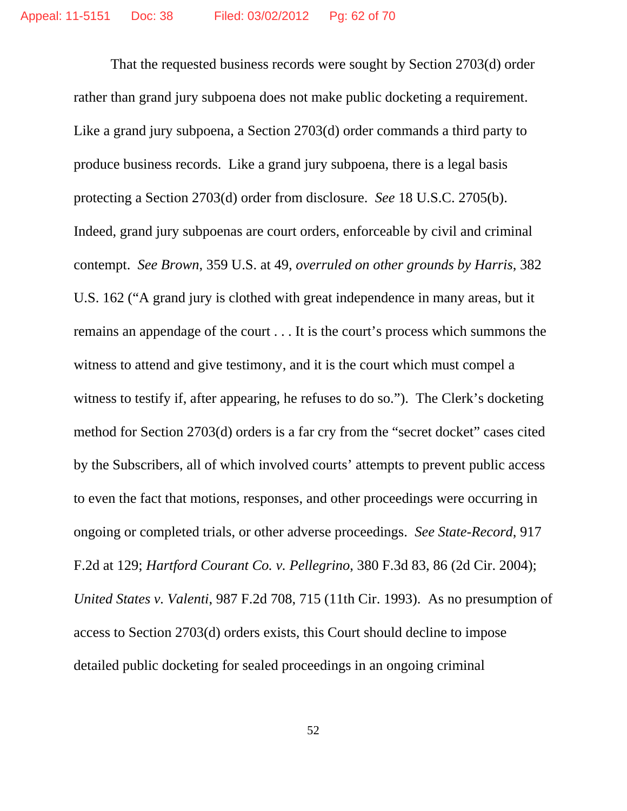That the requested business records were sought by Section 2703(d) order rather than grand jury subpoena does not make public docketing a requirement. Like a grand jury subpoena, a Section 2703(d) order commands a third party to produce business records. Like a grand jury subpoena, there is a legal basis protecting a Section 2703(d) order from disclosure. *See* 18 U.S.C. 2705(b). Indeed, grand jury subpoenas are court orders, enforceable by civil and criminal contempt. *See Brown*, 359 U.S. at 49, *overruled on other grounds by Harris*, 382 U.S. 162 ("A grand jury is clothed with great independence in many areas, but it remains an appendage of the court . . . It is the court's process which summons the witness to attend and give testimony, and it is the court which must compel a witness to testify if, after appearing, he refuses to do so."). The Clerk's docketing method for Section 2703(d) orders is a far cry from the "secret docket" cases cited by the Subscribers, all of which involved courts' attempts to prevent public access to even the fact that motions, responses, and other proceedings were occurring in ongoing or completed trials, or other adverse proceedings. *See State-Record*, 917 F.2d at 129; *Hartford Courant Co. v. Pellegrino*, 380 F.3d 83, 86 (2d Cir. 2004); *United States v. Valenti*, 987 F.2d 708, 715 (11th Cir. 1993). As no presumption of access to Section 2703(d) orders exists, this Court should decline to impose detailed public docketing for sealed proceedings in an ongoing criminal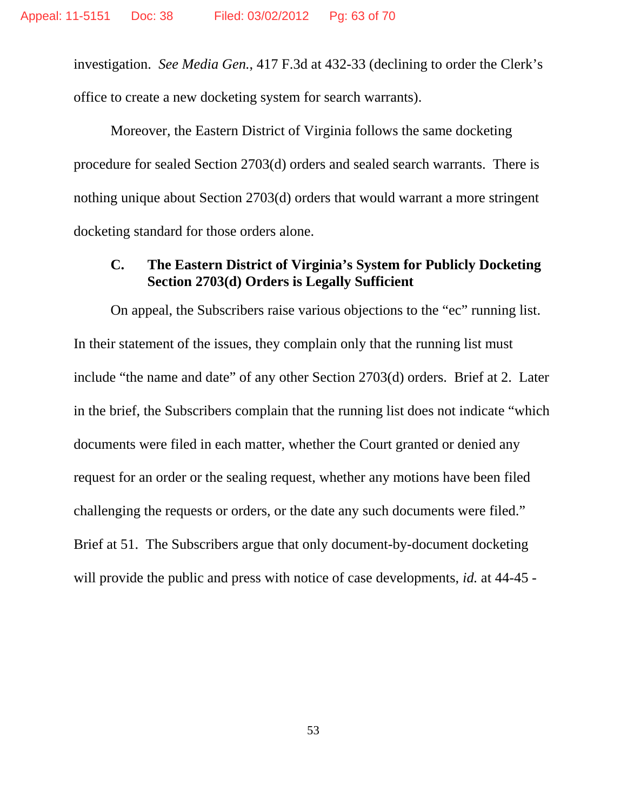investigation. *See Media Gen.*, 417 F.3d at 432-33 (declining to order the Clerk's office to create a new docketing system for search warrants).

Moreover, the Eastern District of Virginia follows the same docketing procedure for sealed Section 2703(d) orders and sealed search warrants. There is nothing unique about Section 2703(d) orders that would warrant a more stringent docketing standard for those orders alone.

## **C. The Eastern District of Virginia's System for Publicly Docketing Section 2703(d) Orders is Legally Sufficient**

On appeal, the Subscribers raise various objections to the "ec" running list. In their statement of the issues, they complain only that the running list must include "the name and date" of any other Section 2703(d) orders. Brief at 2. Later in the brief, the Subscribers complain that the running list does not indicate "which documents were filed in each matter, whether the Court granted or denied any request for an order or the sealing request, whether any motions have been filed challenging the requests or orders, or the date any such documents were filed." Brief at 51. The Subscribers argue that only document-by-document docketing will provide the public and press with notice of case developments, *id.* at 44-45 -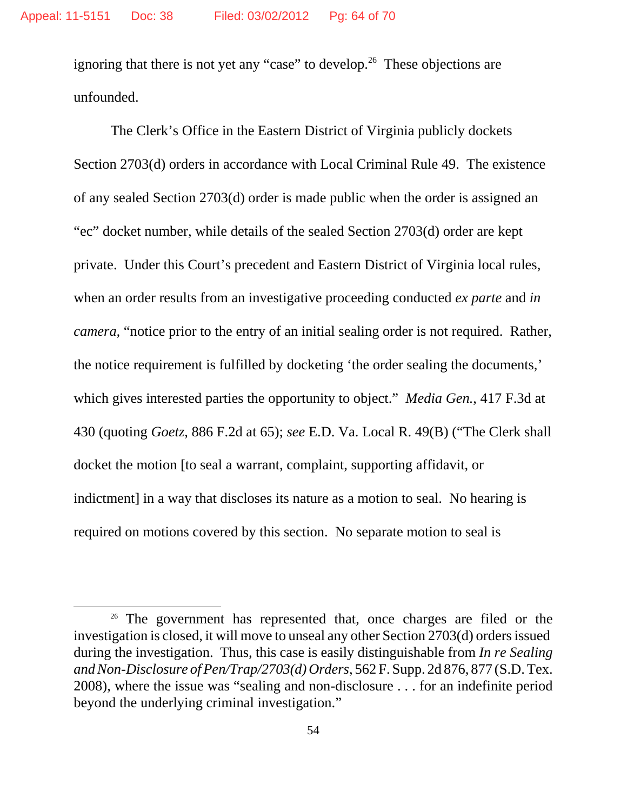ignoring that there is not yet any "case" to develop.<sup>26</sup> These objections are unfounded.

The Clerk's Office in the Eastern District of Virginia publicly dockets Section 2703(d) orders in accordance with Local Criminal Rule 49. The existence of any sealed Section 2703(d) order is made public when the order is assigned an "ec" docket number, while details of the sealed Section 2703(d) order are kept private. Under this Court's precedent and Eastern District of Virginia local rules, when an order results from an investigative proceeding conducted *ex parte* and *in camera,* "notice prior to the entry of an initial sealing order is not required. Rather, the notice requirement is fulfilled by docketing 'the order sealing the documents,' which gives interested parties the opportunity to object." *Media Gen.*, 417 F.3d at 430 (quoting *Goetz*, 886 F.2d at 65); *see* E.D. Va. Local R. 49(B) ("The Clerk shall docket the motion [to seal a warrant, complaint, supporting affidavit, or indictment] in a way that discloses its nature as a motion to seal. No hearing is required on motions covered by this section. No separate motion to seal is

<sup>&</sup>lt;sup>26</sup> The government has represented that, once charges are filed or the investigation is closed, it will move to unseal any other Section 2703(d) ordersissued during the investigation. Thus, this case is easily distinguishable from *In re Sealing and Non-Disclosure of Pen/Trap/2703(d) Orders*, 562 F. Supp. 2d 876, 877 (S.D. Tex. 2008), where the issue was "sealing and non-disclosure . . . for an indefinite period beyond the underlying criminal investigation."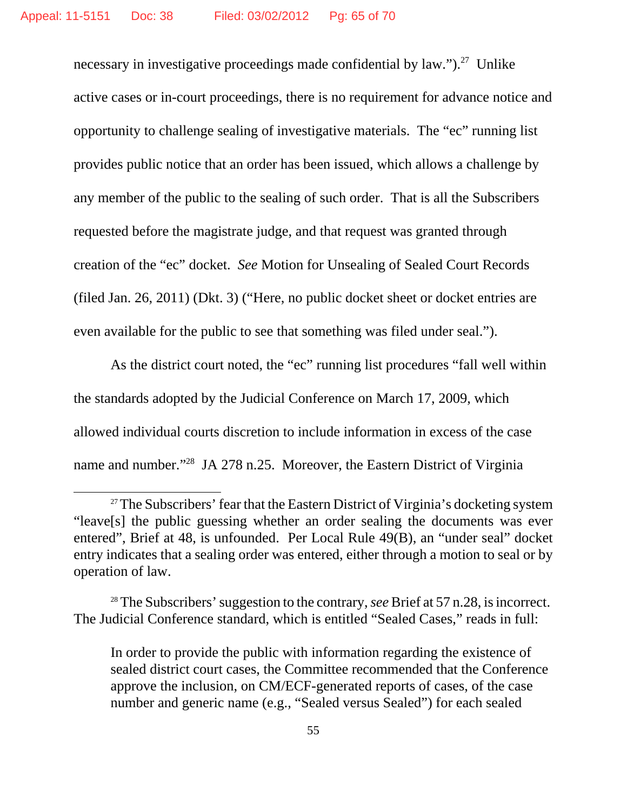necessary in investigative proceedings made confidential by law." $)^2$ . Unlike active cases or in-court proceedings, there is no requirement for advance notice and opportunity to challenge sealing of investigative materials. The "ec" running list provides public notice that an order has been issued, which allows a challenge by any member of the public to the sealing of such order. That is all the Subscribers requested before the magistrate judge, and that request was granted through creation of the "ec" docket. *See* Motion for Unsealing of Sealed Court Records (filed Jan. 26, 2011) (Dkt. 3) ("Here, no public docket sheet or docket entries are even available for the public to see that something was filed under seal.").

As the district court noted, the "ec" running list procedures "fall well within the standards adopted by the Judicial Conference on March 17, 2009, which allowed individual courts discretion to include information in excess of the case name and number."<sup>28</sup> JA 278 n.25. Moreover, the Eastern District of Virginia

<sup>&</sup>lt;sup>27</sup>The Subscribers' fear that the Eastern District of Virginia's docketing system "leave[s] the public guessing whether an order sealing the documents was ever entered", Brief at 48, is unfounded. Per Local Rule 49(B), an "under seal" docket entry indicates that a sealing order was entered, either through a motion to seal or by operation of law.

<sup>28</sup> The Subscribers' suggestion to the contrary, *see* Brief at 57 n.28, is incorrect. The Judicial Conference standard, which is entitled "Sealed Cases," reads in full:

In order to provide the public with information regarding the existence of sealed district court cases, the Committee recommended that the Conference approve the inclusion, on CM/ECF-generated reports of cases, of the case number and generic name (e.g., "Sealed versus Sealed") for each sealed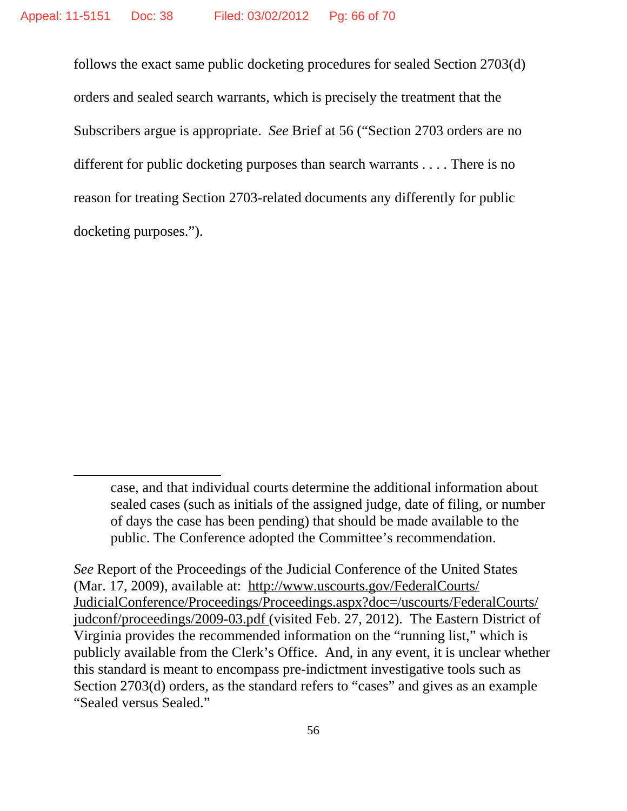follows the exact same public docketing procedures for sealed Section 2703(d) orders and sealed search warrants, which is precisely the treatment that the Subscribers argue is appropriate. *See* Brief at 56 ("Section 2703 orders are no different for public docketing purposes than search warrants . . . . There is no reason for treating Section 2703-related documents any differently for public docketing purposes.").

case, and that individual courts determine the additional information about sealed cases (such as initials of the assigned judge, date of filing, or number of days the case has been pending) that should be made available to the public. The Conference adopted the Committee's recommendation.

*See* Report of the Proceedings of the Judicial Conference of the United States (Mar. 17, 2009), available at: http://www.uscourts.gov/FederalCourts/ JudicialConference/Proceedings/Proceedings.aspx?doc=/uscourts/FederalCourts/ judconf/proceedings/2009-03.pdf (visited Feb. 27, 2012). The Eastern District of Virginia provides the recommended information on the "running list," which is publicly available from the Clerk's Office. And, in any event, it is unclear whether this standard is meant to encompass pre-indictment investigative tools such as Section 2703(d) orders, as the standard refers to "cases" and gives as an example "Sealed versus Sealed."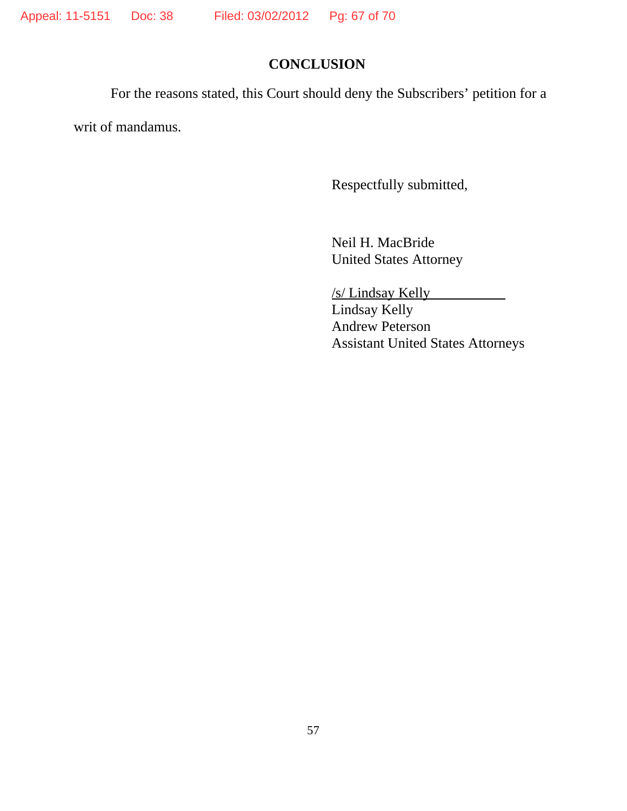## **CONCLUSION**

For the reasons stated, this Court should deny the Subscribers' petition for a

writ of mandamus.

Respectfully submitted,

Neil H. MacBride United States Attorney

/s/ Lindsay Kelly Lindsay Kelly Andrew Peterson Assistant United States Attorneys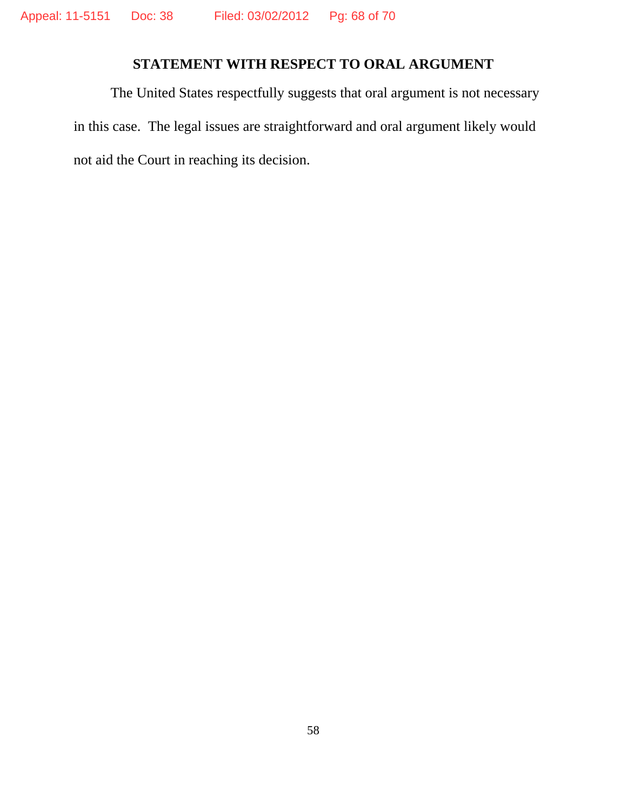## **STATEMENT WITH RESPECT TO ORAL ARGUMENT**

The United States respectfully suggests that oral argument is not necessary in this case. The legal issues are straightforward and oral argument likely would not aid the Court in reaching its decision.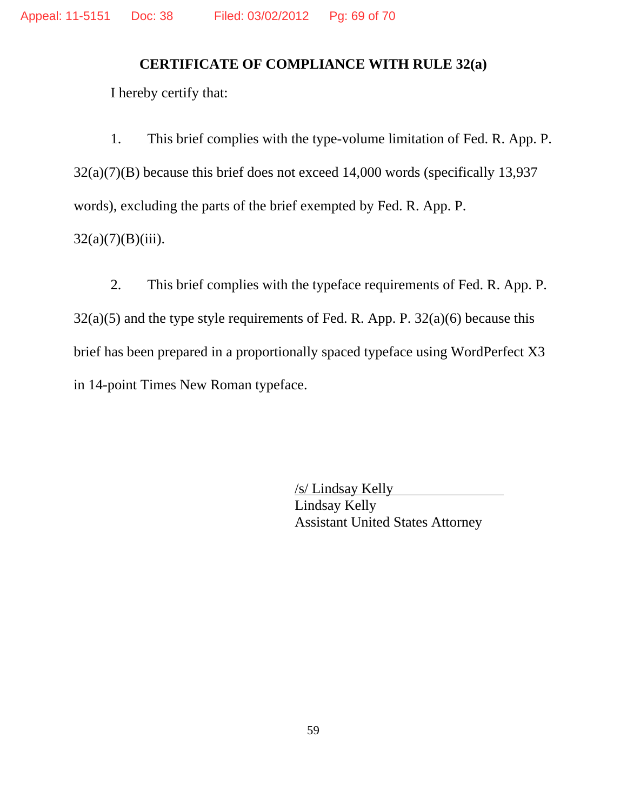## **CERTIFICATE OF COMPLIANCE WITH RULE 32(a)**

I hereby certify that:

1. This brief complies with the type-volume limitation of Fed. R. App. P. 32(a)(7)(B) because this brief does not exceed 14,000 words (specifically 13,937 words), excluding the parts of the brief exempted by Fed. R. App. P.  $32(a)(7)(B)(iii)$ .

2. This brief complies with the typeface requirements of Fed. R. App. P.  $32(a)(5)$  and the type style requirements of Fed. R. App. P.  $32(a)(6)$  because this brief has been prepared in a proportionally spaced typeface using WordPerfect X3 in 14-point Times New Roman typeface.

> /s/ Lindsay Kelly Lindsay Kelly Assistant United States Attorney